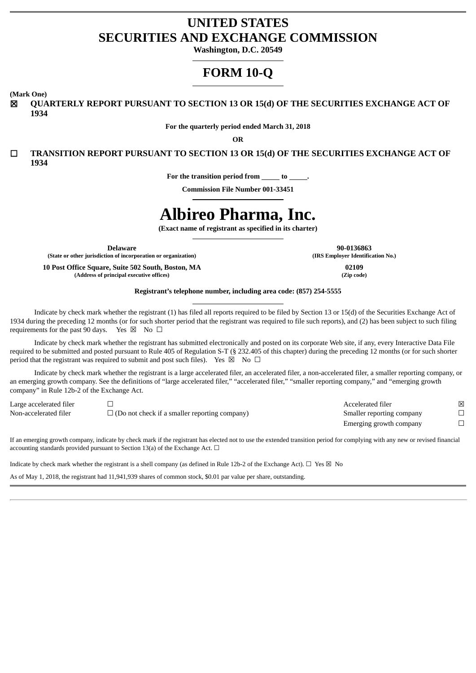## **UNITED STATES SECURITIES AND EXCHANGE COMMISSION**

**Washington, D.C. 20549**

# **FORM 10-Q**

**(Mark One)**

☒ **QUARTERLY REPORT PURSUANT TO SECTION 13 OR 15(d) OF THE SECURITIES EXCHANGE ACT OF 1934**

**For the quarterly period ended March 31, 2018**

**OR**

☐ **TRANSITION REPORT PURSUANT TO SECTION 13 OR 15(d) OF THE SECURITIES EXCHANGE ACT OF 1934**

**For the transition period from to .**

**Commission File Number 001-33451**

# **Albireo Pharma, Inc.**

**(Exact name of registrant as specified in its charter)**

**Delaware**

**(State or other jurisdiction of incorporation or organization)**

**10 Post Office Square, Suite 502 South, Boston, MA (Address of principal executive offices)**

**90-0136863 (IRS Employer Identification No.)**

> **02109 (Zip code)**

**Registrant's telephone number, including area code: (857) 254-5555**

Indicate by check mark whether the registrant (1) has filed all reports required to be filed by Section 13 or 15(d) of the Securities Exchange Act of 1934 during the preceding 12 months (or for such shorter period that the registrant was required to file such reports), and (2) has been subject to such filing requirements for the past 90 days. Yes  $\boxtimes$  No  $\Box$ 

Indicate by check mark whether the registrant has submitted electronically and posted on its corporate Web site, if any, every Interactive Data File required to be submitted and posted pursuant to Rule 405 of Regulation S-T (§ 232.405 of this chapter) during the preceding 12 months (or for such shorter period that the registrant was required to submit and post such files). Yes  $\boxtimes$  No  $\Box$ 

Indicate by check mark whether the registrant is a large accelerated filer, an accelerated filer, a non-accelerated filer, a smaller reporting company, or an emerging growth company. See the definitions of "large accelerated filer," "accelerated filer," "smaller reporting company," and "emerging growth company" in Rule 12b-2 of the Exchange Act.

Large accelerated filer ☐ Accelerated filer ☒ Non-accelerated filer □ □ (Do not check if a smaller reporting company) Smaller reporting company □

Emerging growth company  $\Box$ 

If an emerging growth company, indicate by check mark if the registrant has elected not to use the extended transition period for complying with any new or revised financial accounting standards provided pursuant to Section 13(a) of the Exchange Act.  $\Box$ 

| Indicate by check mark whether the registrant is a shell company (as defined in Rule 12b-2 of the Exchange Act). $\Box$ Yes $\boxtimes$ No |  |
|--------------------------------------------------------------------------------------------------------------------------------------------|--|
| As of May 1, 2018, the registrant had 11,941,939 shares of common stock, \$0.01 par value per share, outstanding.                          |  |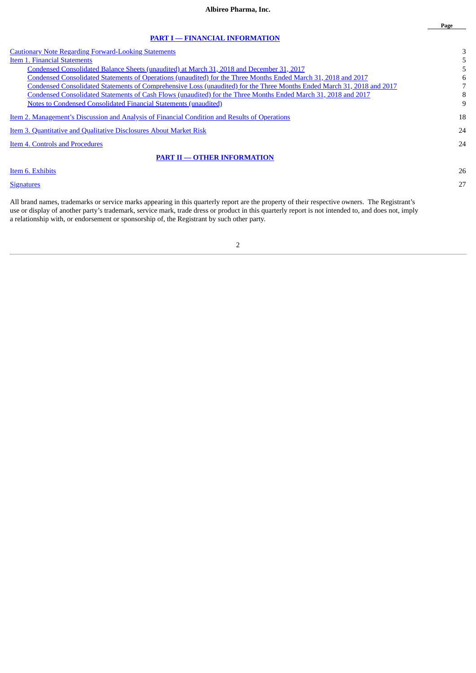| <b>Cautionary Note Regarding Forward-Looking Statements</b>                                                            | 3  |
|------------------------------------------------------------------------------------------------------------------------|----|
| Item 1. Financial Statements                                                                                           |    |
| Condensed Consolidated Balance Sheets (unaudited) at March 31, 2018 and December 31, 2017                              |    |
| Condensed Consolidated Statements of Operations (unaudited) for the Three Months Ended March 31, 2018 and 2017         | 6  |
| Condensed Consolidated Statements of Comprehensive Loss (unaudited) for the Three Months Ended March 31, 2018 and 2017 |    |
| Condensed Consolidated Statements of Cash Flows (unaudited) for the Three Months Ended March 31, 2018 and 2017         | 8  |
| <b>Notes to Condensed Consolidated Financial Statements (unaudited)</b>                                                | 9  |
| <u>Item 2. Management's Discussion and Analysis of Financial Condition and Results of Operations</u>                   | 18 |
| <b>Item 3. Quantitative and Qualitative Disclosures About Market Risk</b>                                              | 24 |
| Item 4. Controls and Procedures                                                                                        | 24 |
| <b>PART II - OTHER INFORMATION</b>                                                                                     |    |
| Item 6. Exhibits                                                                                                       | 26 |
| <b>Signatures</b>                                                                                                      | 27 |

All brand names, trademarks or service marks appearing in this quarterly report are the property of their respective owners. The Registrant's use or display of another party's trademark, service mark, trade dress or product in this quarterly report is not intended to, and does not, imply a relationship with, or endorsement or sponsorship of, the Registrant by such other party.

2

**Page**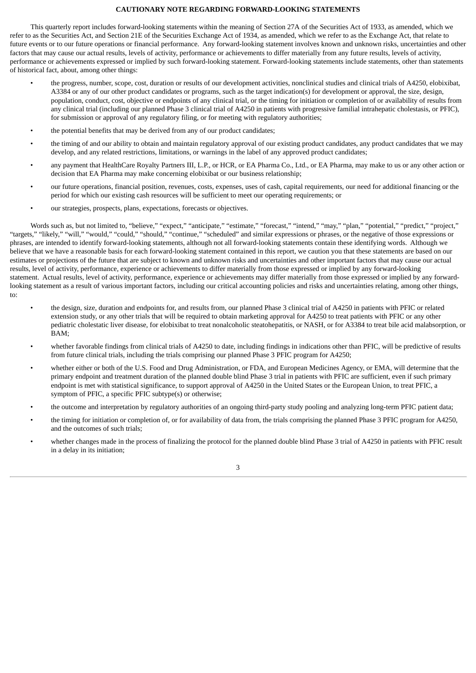#### **CAUTIONARY NOTE REGARDING FORWARD-LOOKING STATEMENTS**

<span id="page-2-0"></span>This quarterly report includes forward-looking statements within the meaning of Section 27A of the Securities Act of 1933, as amended, which we refer to as the Securities Act, and Section 21E of the Securities Exchange Act of 1934, as amended, which we refer to as the Exchange Act, that relate to future events or to our future operations or financial performance. Any forward-looking statement involves known and unknown risks, uncertainties and other factors that may cause our actual results, levels of activity, performance or achievements to differ materially from any future results, levels of activity, performance or achievements expressed or implied by such forward-looking statement. Forward-looking statements include statements, other than statements of historical fact, about, among other things:

- the progress, number, scope, cost, duration or results of our development activities, nonclinical studies and clinical trials of A4250, elobixibat, A3384 or any of our other product candidates or programs, such as the target indication(s) for development or approval, the size, design, population, conduct, cost, objective or endpoints of any clinical trial, or the timing for initiation or completion of or availability of results from any clinical trial (including our planned Phase 3 clinical trial of A4250 in patients with progressive familial intrahepatic cholestasis, or PFIC), for submission or approval of any regulatory filing, or for meeting with regulatory authorities;
- the potential benefits that may be derived from any of our product candidates;
- the timing of and our ability to obtain and maintain regulatory approval of our existing product candidates, any product candidates that we may develop, and any related restrictions, limitations, or warnings in the label of any approved product candidates;
- any payment that HealthCare Royalty Partners III, L.P., or HCR, or EA Pharma Co., Ltd., or EA Pharma, may make to us or any other action or decision that EA Pharma may make concerning elobixibat or our business relationship;
- our future operations, financial position, revenues, costs, expenses, uses of cash, capital requirements, our need for additional financing or the period for which our existing cash resources will be sufficient to meet our operating requirements; or
- our strategies, prospects, plans, expectations, forecasts or objectives.

Words such as, but not limited to, "believe," "expect," "anticipate," "estimate," "forecast," "intend," "may," "plan," "potential," "predict," "project," "targets," "likely," "will," "would," "could," "should," "continue," "scheduled" and similar expressions or phrases, or the negative of those expressions or phrases, are intended to identify forward-looking statements, although not all forward-looking statements contain these identifying words. Although we believe that we have a reasonable basis for each forward-looking statement contained in this report, we caution you that these statements are based on our estimates or projections of the future that are subject to known and unknown risks and uncertainties and other important factors that may cause our actual results, level of activity, performance, experience or achievements to differ materially from those expressed or implied by any forward-looking statement. Actual results, level of activity, performance, experience or achievements may differ materially from those expressed or implied by any forwardlooking statement as a result of various important factors, including our critical accounting policies and risks and uncertainties relating, among other things, to:

- the design, size, duration and endpoints for, and results from, our planned Phase 3 clinical trial of A4250 in patients with PFIC or related extension study, or any other trials that will be required to obtain marketing approval for A4250 to treat patients with PFIC or any other pediatric cholestatic liver disease, for elobixibat to treat nonalcoholic steatohepatitis, or NASH, or for A3384 to treat bile acid malabsorption, or BAM;
- whether favorable findings from clinical trials of A4250 to date, including findings in indications other than PFIC, will be predictive of results from future clinical trials, including the trials comprising our planned Phase 3 PFIC program for A4250;
- whether either or both of the U.S. Food and Drug Administration, or FDA, and European Medicines Agency, or EMA, will determine that the primary endpoint and treatment duration of the planned double blind Phase 3 trial in patients with PFIC are sufficient, even if such primary endpoint is met with statistical significance, to support approval of A4250 in the United States or the European Union, to treat PFIC, a symptom of PFIC, a specific PFIC subtype(s) or otherwise;
- the outcome and interpretation by regulatory authorities of an ongoing third-party study pooling and analyzing long-term PFIC patient data;
- the timing for initiation or completion of, or for availability of data from, the trials comprising the planned Phase 3 PFIC program for A4250, and the outcomes of such trials;
- whether changes made in the process of finalizing the protocol for the planned double blind Phase 3 trial of A4250 in patients with PFIC result in a delay in its initiation;

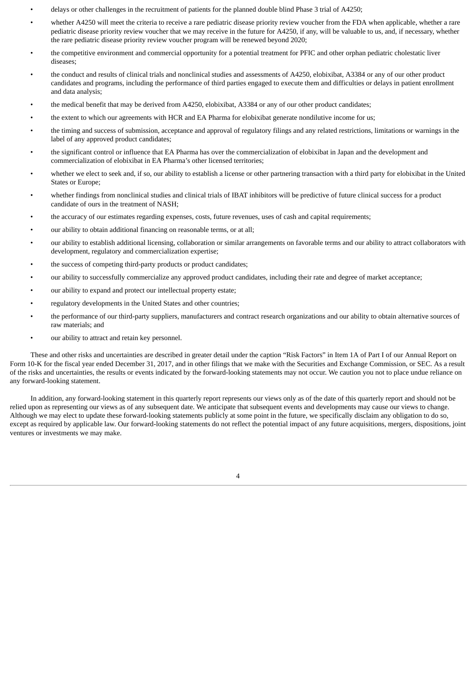- delays or other challenges in the recruitment of patients for the planned double blind Phase 3 trial of A4250;
- whether A4250 will meet the criteria to receive a rare pediatric disease priority review voucher from the FDA when applicable, whether a rare pediatric disease priority review voucher that we may receive in the future for A4250, if any, will be valuable to us, and, if necessary, whether the rare pediatric disease priority review voucher program will be renewed beyond 2020;
- the competitive environment and commercial opportunity for a potential treatment for PFIC and other orphan pediatric cholestatic liver diseases;
- the conduct and results of clinical trials and nonclinical studies and assessments of A4250, elobixibat, A3384 or any of our other product candidates and programs, including the performance of third parties engaged to execute them and difficulties or delays in patient enrollment and data analysis;
- the medical benefit that may be derived from A4250, elobixibat, A3384 or any of our other product candidates;
- the extent to which our agreements with HCR and EA Pharma for elobixibat generate nondilutive income for us;
- the timing and success of submission, acceptance and approval of regulatory filings and any related restrictions, limitations or warnings in the label of any approved product candidates;
- the significant control or influence that EA Pharma has over the commercialization of elobixibat in Japan and the development and commercialization of elobixibat in EA Pharma's other licensed territories;
- whether we elect to seek and, if so, our ability to establish a license or other partnering transaction with a third party for elobixibat in the United States or Europe;
- whether findings from nonclinical studies and clinical trials of IBAT inhibitors will be predictive of future clinical success for a product candidate of ours in the treatment of NASH;
- the accuracy of our estimates regarding expenses, costs, future revenues, uses of cash and capital requirements;
- our ability to obtain additional financing on reasonable terms, or at all;
- our ability to establish additional licensing, collaboration or similar arrangements on favorable terms and our ability to attract collaborators with development, regulatory and commercialization expertise;
- the success of competing third-party products or product candidates;
- our ability to successfully commercialize any approved product candidates, including their rate and degree of market acceptance;
- our ability to expand and protect our intellectual property estate;
- regulatory developments in the United States and other countries;
- the performance of our third-party suppliers, manufacturers and contract research organizations and our ability to obtain alternative sources of raw materials; and
- our ability to attract and retain key personnel.

These and other risks and uncertainties are described in greater detail under the caption "Risk Factors" in Item 1A of Part I of our Annual Report on Form 10-K for the fiscal year ended December 31, 2017, and in other filings that we make with the Securities and Exchange Commission, or SEC. As a result of the risks and uncertainties, the results or events indicated by the forward-looking statements may not occur. We caution you not to place undue reliance on any forward-looking statement.

In addition, any forward-looking statement in this quarterly report represents our views only as of the date of this quarterly report and should not be relied upon as representing our views as of any subsequent date. We anticipate that subsequent events and developments may cause our views to change. Although we may elect to update these forward-looking statements publicly at some point in the future, we specifically disclaim any obligation to do so, except as required by applicable law. Our forward-looking statements do not reflect the potential impact of any future acquisitions, mergers, dispositions, joint ventures or investments we may make.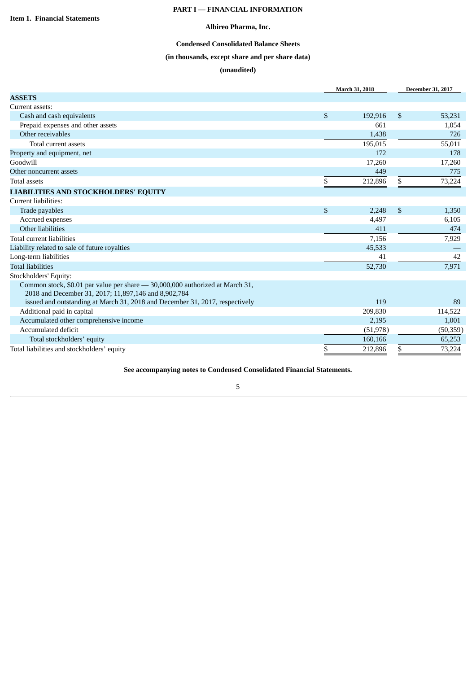## **PART I — FINANCIAL INFORMATION**

### **Albireo Pharma, Inc.**

## **Condensed Consolidated Balance Sheets**

## **(in thousands, except share and per share data)**

## **(unaudited)**

<span id="page-4-2"></span><span id="page-4-1"></span><span id="page-4-0"></span>

|                                                                               | March 31, 2018 | <b>December 31, 2017</b> |
|-------------------------------------------------------------------------------|----------------|--------------------------|
| <b>ASSETS</b>                                                                 |                |                          |
| Current assets:                                                               |                |                          |
| Cash and cash equivalents                                                     | \$<br>192,916  | \$<br>53,231             |
| Prepaid expenses and other assets                                             | 661            | 1,054                    |
| Other receivables                                                             | 1,438          | 726                      |
| Total current assets                                                          | 195,015        | 55,011                   |
| Property and equipment, net                                                   | 172            | 178                      |
| Goodwill                                                                      | 17,260         | 17,260                   |
| Other noncurrent assets                                                       | 449            | 775                      |
| <b>Total assets</b>                                                           | \$<br>212,896  | \$<br>73,224             |
| <b>LIABILITIES AND STOCKHOLDERS' EQUITY</b>                                   |                |                          |
| Current liabilities:                                                          |                |                          |
| Trade payables                                                                | \$<br>2,248    | \$<br>1,350              |
| Accrued expenses                                                              | 4,497          | 6,105                    |
| Other liabilities                                                             | 411            | 474                      |
| Total current liabilities                                                     | 7,156          | 7,929                    |
| Liability related to sale of future royalties                                 | 45,533         |                          |
| Long-term liabilities                                                         | 41             | 42                       |
| <b>Total liabilities</b>                                                      | 52,730         | 7,971                    |
| Stockholders' Equity:                                                         |                |                          |
| Common stock, \$0.01 par value per share - 30,000,000 authorized at March 31, |                |                          |
| 2018 and December 31, 2017; 11,897,146 and 8,902,784                          |                |                          |
| issued and outstanding at March 31, 2018 and December 31, 2017, respectively  | 119            | 89                       |
| Additional paid in capital                                                    | 209,830        | 114,522                  |
| Accumulated other comprehensive income                                        | 2,195          | 1,001                    |
| Accumulated deficit                                                           | (51, 978)      | (50, 359)                |
| Total stockholders' equity                                                    | 160,166        | 65,253                   |
| Total liabilities and stockholders' equity                                    | \$<br>212,896  | \$<br>73,224             |

**See accompanying notes to Condensed Consolidated Financial Statements.**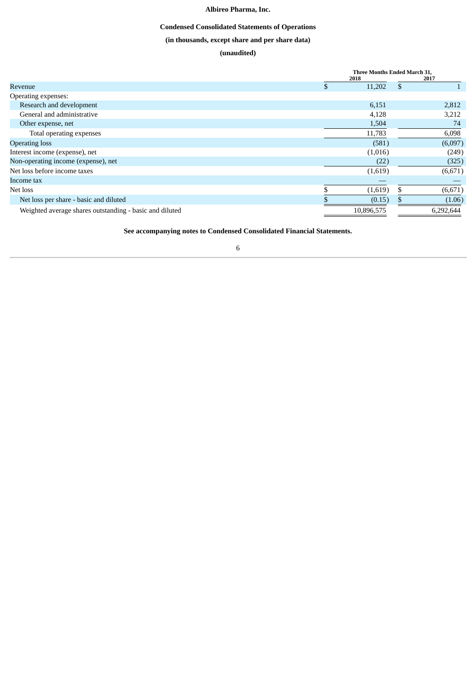## **Condensed Consolidated Statements of Operations**

## **(in thousands, except share and per share data)**

## **(unaudited)**

<span id="page-5-0"></span>

| Three Months Ended March 31, |            |              |           |
|------------------------------|------------|--------------|-----------|
|                              |            |              | 2017      |
|                              | 11,202     | $\mathbb{S}$ |           |
|                              |            |              |           |
|                              | 6,151      |              | 2,812     |
|                              | 4,128      |              | 3,212     |
|                              | 1,504      |              | 74        |
|                              | 11,783     |              | 6,098     |
|                              | (581)      |              | (6,097)   |
|                              | (1,016)    |              | (249)     |
|                              | (22)       |              | (325)     |
|                              | (1,619)    |              | (6,671)   |
|                              |            |              |           |
|                              | (1,619)    | \$.          | (6, 671)  |
|                              | (0.15)     |              | (1.06)    |
|                              | 10,896,575 |              | 6,292,644 |
|                              |            | 2018         |           |

**See accompanying notes to Condensed Consolidated Financial Statements.**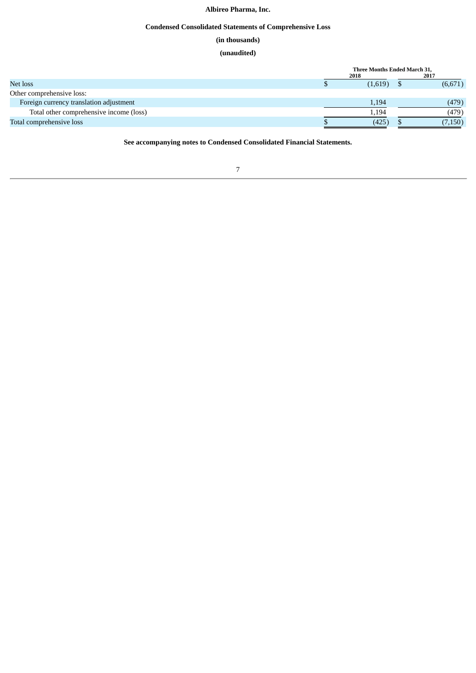## **Condensed Consolidated Statements of Comprehensive Loss**

## **(in thousands)**

## **(unaudited)**

<span id="page-6-0"></span>

|                                         | Three Months Ended March 31, |  |          |
|-----------------------------------------|------------------------------|--|----------|
|                                         | 2018                         |  | 2017     |
| Net loss                                | (1,619)                      |  | (6,671)  |
| Other comprehensive loss:               |                              |  |          |
| Foreign currency translation adjustment | 1,194                        |  | (479)    |
| Total other comprehensive income (loss) | 1,194                        |  | (479)    |
| Total comprehensive loss                | (425)                        |  | (7, 150) |

**See accompanying notes to Condensed Consolidated Financial Statements.**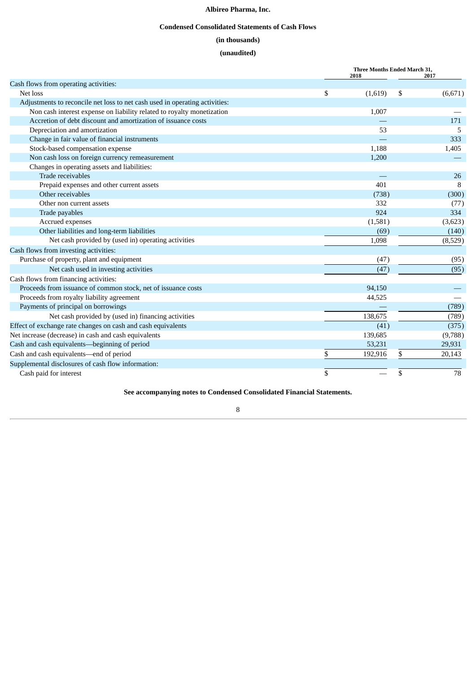## **Condensed Consolidated Statements of Cash Flows**

## **(in thousands)**

## **(unaudited)**

<span id="page-7-0"></span>

|                                                                             | Three Months Ended March 31, |    |         |
|-----------------------------------------------------------------------------|------------------------------|----|---------|
| Cash flows from operating activities:                                       | 2018                         |    | 2017    |
| Net loss                                                                    | \$<br>(1,619)                | \$ | (6,671) |
| Adjustments to reconcile net loss to net cash used in operating activities: |                              |    |         |
| Non cash interest expense on liability related to royalty monetization      | 1,007                        |    |         |
| Accretion of debt discount and amortization of issuance costs               |                              |    | 171     |
| Depreciation and amortization                                               | 53                           |    | -5      |
| Change in fair value of financial instruments                               |                              |    | 333     |
| Stock-based compensation expense                                            | 1,188                        |    | 1,405   |
| Non cash loss on foreign currency remeasurement                             | 1,200                        |    |         |
| Changes in operating assets and liabilities:                                |                              |    |         |
| Trade receivables                                                           |                              |    | 26      |
| Prepaid expenses and other current assets                                   | 401                          |    | 8       |
| Other receivables                                                           | (738)                        |    | (300)   |
| Other non current assets                                                    | 332                          |    | (77)    |
| Trade payables                                                              | 924                          |    | 334     |
| Accrued expenses                                                            | (1,581)                      |    | (3,623) |
| Other liabilities and long-term liabilities                                 | (69)                         |    | (140)   |
| Net cash provided by (used in) operating activities                         | 1,098                        |    | (8,529) |
| Cash flows from investing activities:                                       |                              |    |         |
| Purchase of property, plant and equipment                                   | (47)                         |    | (95)    |
| Net cash used in investing activities                                       | (47)                         |    | (95)    |
| Cash flows from financing activities:                                       |                              |    |         |
| Proceeds from issuance of common stock, net of issuance costs               | 94,150                       |    |         |
| Proceeds from royalty liability agreement                                   | 44,525                       |    |         |
| Payments of principal on borrowings                                         |                              |    | (789)   |
| Net cash provided by (used in) financing activities                         | 138,675                      |    | (789)   |
| Effect of exchange rate changes on cash and cash equivalents                | (41)                         |    | (375)   |
| Net increase (decrease) in cash and cash equivalents                        | 139,685                      |    | (9,788) |
| Cash and cash equivalents-beginning of period                               | 53,231                       |    | 29,931  |
| Cash and cash equivalents-end of period                                     | \$<br>192,916                | \$ | 20,143  |
| Supplemental disclosures of cash flow information:                          |                              |    |         |
| Cash paid for interest                                                      | \$                           | \$ | 78      |

**See accompanying notes to Condensed Consolidated Financial Statements.**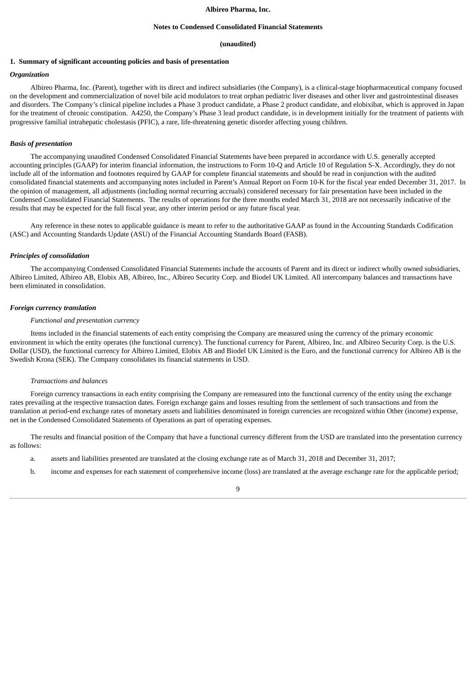#### **Notes to Condensed Consolidated Financial Statements**

#### **(unaudited)**

#### <span id="page-8-0"></span>**1. Summary of significant accounting policies and basis of presentation**

#### *Organization*

Albireo Pharma, Inc. (Parent), together with its direct and indirect subsidiaries (the Company), is a clinical-stage biopharmaceutical company focused on the development and commercialization of novel bile acid modulators to treat orphan pediatric liver diseases and other liver and gastrointestinal diseases and disorders. The Company's clinical pipeline includes a Phase 3 product candidate, a Phase 2 product candidate, and elobixibat, which is approved in Japan for the treatment of chronic constipation. A4250, the Company's Phase 3 lead product candidate, is in development initially for the treatment of patients with progressive familial intrahepatic cholestasis (PFIC), a rare, life-threatening genetic disorder affecting young children.

#### *Basis of presentation*

The accompanying unaudited Condensed Consolidated Financial Statements have been prepared in accordance with U.S. generally accepted accounting principles (GAAP) for interim financial information, the instructions to Form 10-Q and Article 10 of Regulation S-X. Accordingly, they do not include all of the information and footnotes required by GAAP for complete financial statements and should be read in conjunction with the audited consolidated financial statements and accompanying notes included in Parent's Annual Report on Form 10-K for the fiscal year ended December 31, 2017. In the opinion of management, all adjustments (including normal recurring accruals) considered necessary for fair presentation have been included in the Condensed Consolidated Financial Statements. The results of operations for the three months ended March 31, 2018 are not necessarily indicative of the results that may be expected for the full fiscal year, any other interim period or any future fiscal year.

Any reference in these notes to applicable guidance is meant to refer to the authoritative GAAP as found in the Accounting Standards Codification (ASC) and Accounting Standards Update (ASU) of the Financial Accounting Standards Board (FASB).

#### *Principles of consolidation*

The accompanying Condensed Consolidated Financial Statements include the accounts of Parent and its direct or indirect wholly owned subsidiaries, Albireo Limited, Albireo AB, Elobix AB, Albireo, Inc., Albireo Security Corp. and Biodel UK Limited. All intercompany balances and transactions have been eliminated in consolidation.

#### *Foreign currency translation*

#### *Functional and presentation currency*

Items included in the financial statements of each entity comprising the Company are measured using the currency of the primary economic environment in which the entity operates (the functional currency). The functional currency for Parent, Albireo, Inc. and Albireo Security Corp. is the U.S. Dollar (USD), the functional currency for Albireo Limited, Elobix AB and Biodel UK Limited is the Euro, and the functional currency for Albireo AB is the Swedish Krona (SEK). The Company consolidates its financial statements in USD.

#### *Transactions and balances*

Foreign currency transactions in each entity comprising the Company are remeasured into the functional currency of the entity using the exchange rates prevailing at the respective transaction dates. Foreign exchange gains and losses resulting from the settlement of such transactions and from the translation at period-end exchange rates of monetary assets and liabilities denominated in foreign currencies are recognized within Other (income) expense, net in the Condensed Consolidated Statements of Operations as part of operating expenses.

The results and financial position of the Company that have a functional currency different from the USD are translated into the presentation currency as follows:

- a. assets and liabilities presented are translated at the closing exchange rate as of March 31, 2018 and December 31, 2017;
- b. income and expenses for each statement of comprehensive income (loss) are translated at the average exchange rate for the applicable period;

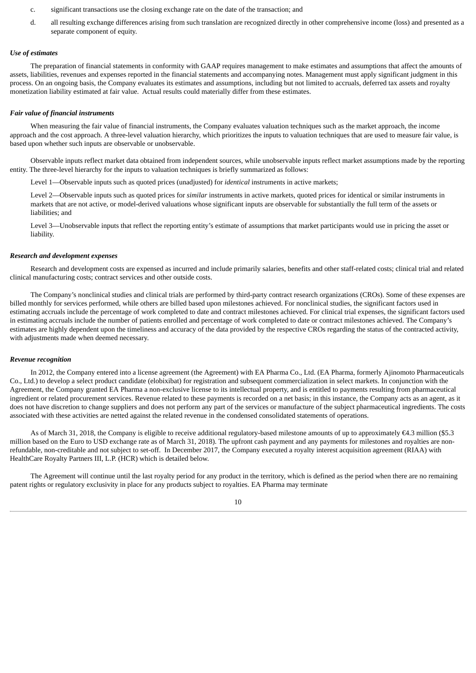- c. significant transactions use the closing exchange rate on the date of the transaction; and
- d. all resulting exchange differences arising from such translation are recognized directly in other comprehensive income (loss) and presented as a separate component of equity.

#### *Use of estimates*

The preparation of financial statements in conformity with GAAP requires management to make estimates and assumptions that affect the amounts of assets, liabilities, revenues and expenses reported in the financial statements and accompanying notes. Management must apply significant judgment in this process. On an ongoing basis, the Company evaluates its estimates and assumptions, including but not limited to accruals, deferred tax assets and royalty monetization liability estimated at fair value. Actual results could materially differ from these estimates.

#### *Fair value of financial instruments*

When measuring the fair value of financial instruments, the Company evaluates valuation techniques such as the market approach, the income approach and the cost approach. A three-level valuation hierarchy, which prioritizes the inputs to valuation techniques that are used to measure fair value, is based upon whether such inputs are observable or unobservable.

Observable inputs reflect market data obtained from independent sources, while unobservable inputs reflect market assumptions made by the reporting entity. The three-level hierarchy for the inputs to valuation techniques is briefly summarized as follows:

Level 1—Observable inputs such as quoted prices (unadjusted) for *identical* instruments in active markets;

Level 2—Observable inputs such as quoted prices for *similar* instruments in active markets, quoted prices for identical or similar instruments in markets that are not active, or model-derived valuations whose significant inputs are observable for substantially the full term of the assets or liabilities; and

Level 3—Unobservable inputs that reflect the reporting entity's estimate of assumptions that market participants would use in pricing the asset or liability.

#### *Research and development expenses*

Research and development costs are expensed as incurred and include primarily salaries, benefits and other staff-related costs; clinical trial and related clinical manufacturing costs; contract services and other outside costs.

The Company's nonclinical studies and clinical trials are performed by third-party contract research organizations (CROs). Some of these expenses are billed monthly for services performed, while others are billed based upon milestones achieved. For nonclinical studies, the significant factors used in estimating accruals include the percentage of work completed to date and contract milestones achieved. For clinical trial expenses, the significant factors used in estimating accruals include the number of patients enrolled and percentage of work completed to date or contract milestones achieved. The Company's estimates are highly dependent upon the timeliness and accuracy of the data provided by the respective CROs regarding the status of the contracted activity, with adjustments made when deemed necessary.

#### *Revenue recognition*

In 2012, the Company entered into a license agreement (the Agreement) with EA Pharma Co., Ltd. (EA Pharma, formerly Ajinomoto Pharmaceuticals Co., Ltd.) to develop a select product candidate (elobixibat) for registration and subsequent commercialization in select markets. In conjunction with the Agreement, the Company granted EA Pharma a non-exclusive license to its intellectual property, and is entitled to payments resulting from pharmaceutical ingredient or related procurement services. Revenue related to these payments is recorded on a net basis; in this instance, the Company acts as an agent, as it does not have discretion to change suppliers and does not perform any part of the services or manufacture of the subject pharmaceutical ingredients. The costs associated with these activities are netted against the related revenue in the condensed consolidated statements of operations.

As of March 31, 2018, the Company is eligible to receive additional regulatory-based milestone amounts of up to approximately €4.3 million (\$5.3 million based on the Euro to USD exchange rate as of March 31, 2018). The upfront cash payment and any payments for milestones and royalties are nonrefundable, non-creditable and not subject to set-off. In December 2017, the Company executed a royalty interest acquisition agreement (RIAA) with HealthCare Royalty Partners III, L.P. (HCR) which is detailed below.

The Agreement will continue until the last royalty period for any product in the territory, which is defined as the period when there are no remaining patent rights or regulatory exclusivity in place for any products subject to royalties. EA Pharma may terminate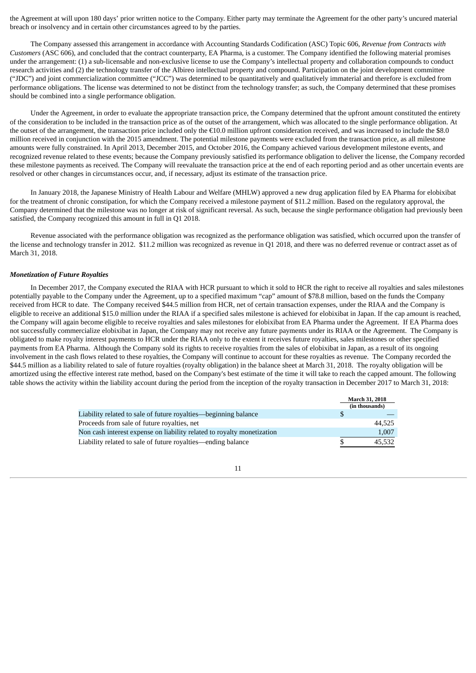the Agreement at will upon 180 days' prior written notice to the Company. Either party may terminate the Agreement for the other party's uncured material breach or insolvency and in certain other circumstances agreed to by the parties.

The Company assessed this arrangement in accordance with Accounting Standards Codification (ASC) Topic 606, *Revenue from Contracts with Customers* (ASC 606), and concluded that the contract counterparty, EA Pharma, is a customer. The Company identified the following material promises under the arrangement: (1) a sub-licensable and non-exclusive license to use the Company's intellectual property and collaboration compounds to conduct research activities and (2) the technology transfer of the Albireo intellectual property and compound. Participation on the joint development committee ("JDC") and joint commercialization committee ("JCC") was determined to be quantitatively and qualitatively immaterial and therefore is excluded from performance obligations. The license was determined to not be distinct from the technology transfer; as such, the Company determined that these promises should be combined into a single performance obligation.

Under the Agreement, in order to evaluate the appropriate transaction price, the Company determined that the upfront amount constituted the entirety of the consideration to be included in the transaction price as of the outset of the arrangement, which was allocated to the single performance obligation. At the outset of the arrangement, the transaction price included only the €10.0 million upfront consideration received, and was increased to include the \$8.0 million received in conjunction with the 2015 amendment. The potential milestone payments were excluded from the transaction price, as all milestone amounts were fully constrained. In April 2013, December 2015, and October 2016, the Company achieved various development milestone events, and recognized revenue related to these events; because the Company previously satisfied its performance obligation to deliver the license, the Company recorded these milestone payments as received. The Company will reevaluate the transaction price at the end of each reporting period and as other uncertain events are resolved or other changes in circumstances occur, and, if necessary, adjust its estimate of the transaction price.

In January 2018, the Japanese Ministry of Health Labour and Welfare (MHLW) approved a new drug application filed by EA Pharma for elobixibat for the treatment of chronic constipation, for which the Company received a milestone payment of \$11.2 million. Based on the regulatory approval, the Company determined that the milestone was no longer at risk of significant reversal. As such, because the single performance obligation had previously been satisfied, the Company recognized this amount in full in Q1 2018.

Revenue associated with the performance obligation was recognized as the performance obligation was satisfied, which occurred upon the transfer of the license and technology transfer in 2012. \$11.2 million was recognized as revenue in Q1 2018, and there was no deferred revenue or contract asset as of March 31, 2018.

#### *Monetization of Future Royalties*

In December 2017, the Company executed the RIAA with HCR pursuant to which it sold to HCR the right to receive all royalties and sales milestones potentially payable to the Company under the Agreement, up to a specified maximum "cap" amount of \$78.8 million, based on the funds the Company received from HCR to date. The Company received \$44.5 million from HCR, net of certain transaction expenses, under the RIAA and the Company is eligible to receive an additional \$15.0 million under the RIAA if a specified sales milestone is achieved for elobixibat in Japan. If the cap amount is reached, the Company will again become eligible to receive royalties and sales milestones for elobixibat from EA Pharma under the Agreement. If EA Pharma does not successfully commercialize elobixibat in Japan, the Company may not receive any future payments under its RIAA or the Agreement. The Company is obligated to make royalty interest payments to HCR under the RIAA only to the extent it receives future royalties, sales milestones or other specified payments from EA Pharma. Although the Company sold its rights to receive royalties from the sales of elobixibat in Japan, as a result of its ongoing involvement in the cash flows related to these royalties, the Company will continue to account for these royalties as revenue. The Company recorded the \$44.5 million as a liability related to sale of future royalties (royalty obligation) in the balance sheet at March 31, 2018. The royalty obligation will be amortized using the effective interest rate method, based on the Company's best estimate of the time it will take to reach the capped amount. The following table shows the activity within the liability account during the period from the inception of the royalty transaction in December 2017 to March 31, 2018:

|                                                                        |    | <b>March 31, 2018</b> |
|------------------------------------------------------------------------|----|-----------------------|
|                                                                        |    | (in thousands)        |
| Liability related to sale of future royalties—beginning balance        |    |                       |
| Proceeds from sale of future royalties, net                            |    | 44.525                |
| Non cash interest expense on liability related to royalty monetization |    | 1,007                 |
| Liability related to sale of future royalties—ending balance           | .S | 45.532                |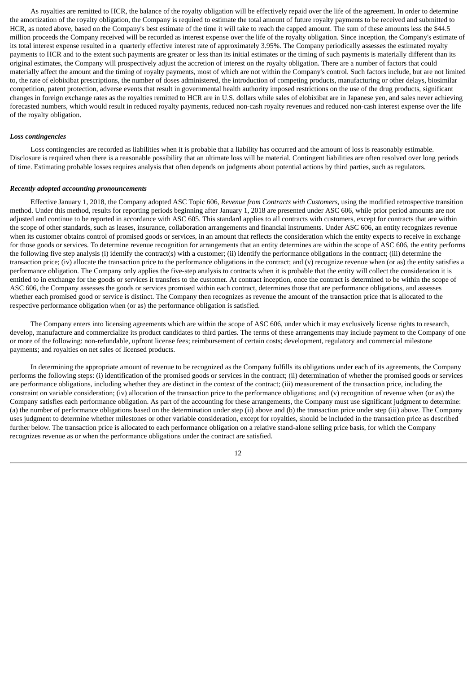As royalties are remitted to HCR, the balance of the royalty obligation will be effectively repaid over the life of the agreement. In order to determine the amortization of the royalty obligation, the Company is required to estimate the total amount of future royalty payments to be received and submitted to HCR, as noted above, based on the Company's best estimate of the time it will take to reach the capped amount. The sum of these amounts less the \$44.5 million proceeds the Company received will be recorded as interest expense over the life of the royalty obligation. Since inception, the Company's estimate of its total interest expense resulted in a quarterly effective interest rate of approximately 3.95%. The Company periodically assesses the estimated royalty payments to HCR and to the extent such payments are greater or less than its initial estimates or the timing of such payments is materially different than its original estimates, the Company will prospectively adjust the accretion of interest on the royalty obligation. There are a number of factors that could materially affect the amount and the timing of royalty payments, most of which are not within the Company's control. Such factors include, but are not limited to, the rate of elobixibat prescriptions, the number of doses administered, the introduction of competing products, manufacturing or other delays, biosimilar competition, patent protection, adverse events that result in governmental health authority imposed restrictions on the use of the drug products, significant changes in foreign exchange rates as the royalties remitted to HCR are in U.S. dollars while sales of elobixibat are in Japanese yen, and sales never achieving forecasted numbers, which would result in reduced royalty payments, reduced non-cash royalty revenues and reduced non-cash interest expense over the life of the royalty obligation.

#### *Loss contingencies*

Loss contingencies are recorded as liabilities when it is probable that a liability has occurred and the amount of loss is reasonably estimable. Disclosure is required when there is a reasonable possibility that an ultimate loss will be material. Contingent liabilities are often resolved over long periods of time. Estimating probable losses requires analysis that often depends on judgments about potential actions by third parties, such as regulators.

#### *Recently adopted accounting pronouncements*

Effective January 1, 2018, the Company adopted ASC Topic 606, *Revenue from Contracts with Customers*, using the modified retrospective transition method. Under this method, results for reporting periods beginning after January 1, 2018 are presented under ASC 606, while prior period amounts are not adjusted and continue to be reported in accordance with ASC 605. This standard applies to all contracts with customers, except for contracts that are within the scope of other standards, such as leases, insurance, collaboration arrangements and financial instruments. Under ASC 606, an entity recognizes revenue when its customer obtains control of promised goods or services, in an amount that reflects the consideration which the entity expects to receive in exchange for those goods or services. To determine revenue recognition for arrangements that an entity determines are within the scope of ASC 606, the entity performs the following five step analysis (i) identify the contract(s) with a customer; (ii) identify the performance obligations in the contract; (iii) determine the transaction price; (iv) allocate the transaction price to the performance obligations in the contract; and (v) recognize revenue when (or as) the entity satisfies a performance obligation. The Company only applies the five-step analysis to contracts when it is probable that the entity will collect the consideration it is entitled to in exchange for the goods or services it transfers to the customer. At contract inception, once the contract is determined to be within the scope of ASC 606, the Company assesses the goods or services promised within each contract, determines those that are performance obligations, and assesses whether each promised good or service is distinct. The Company then recognizes as revenue the amount of the transaction price that is allocated to the respective performance obligation when (or as) the performance obligation is satisfied.

The Company enters into licensing agreements which are within the scope of ASC 606, under which it may exclusively license rights to research, develop, manufacture and commercialize its product candidates to third parties. The terms of these arrangements may include payment to the Company of one or more of the following: non-refundable, upfront license fees; reimbursement of certain costs; development, regulatory and commercial milestone payments; and royalties on net sales of licensed products.

In determining the appropriate amount of revenue to be recognized as the Company fulfills its obligations under each of its agreements, the Company performs the following steps: (i) identification of the promised goods or services in the contract; (ii) determination of whether the promised goods or services are performance obligations, including whether they are distinct in the context of the contract; (iii) measurement of the transaction price, including the constraint on variable consideration; (iv) allocation of the transaction price to the performance obligations; and (v) recognition of revenue when (or as) the Company satisfies each performance obligation. As part of the accounting for these arrangements, the Company must use significant judgment to determine: (a) the number of performance obligations based on the determination under step (ii) above and (b) the transaction price under step (iii) above. The Company uses judgment to determine whether milestones or other variable consideration, except for royalties, should be included in the transaction price as described further below. The transaction price is allocated to each performance obligation on a relative stand-alone selling price basis, for which the Company recognizes revenue as or when the performance obligations under the contract are satisfied.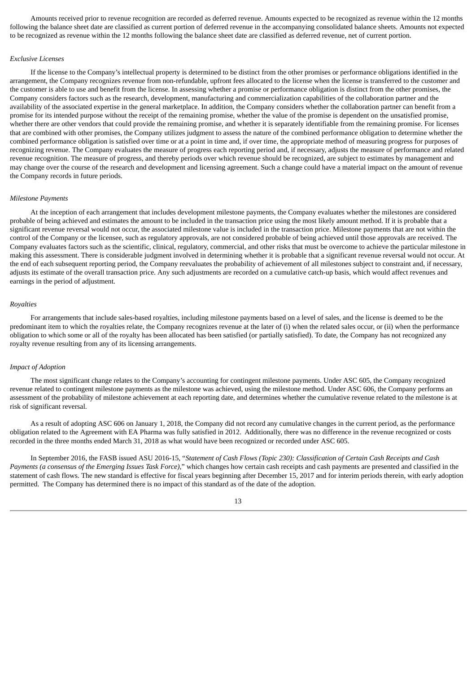Amounts received prior to revenue recognition are recorded as deferred revenue. Amounts expected to be recognized as revenue within the 12 months following the balance sheet date are classified as current portion of deferred revenue in the accompanying consolidated balance sheets. Amounts not expected to be recognized as revenue within the 12 months following the balance sheet date are classified as deferred revenue, net of current portion.

#### *Exclusive Licenses*

If the license to the Company's intellectual property is determined to be distinct from the other promises or performance obligations identified in the arrangement, the Company recognizes revenue from non-refundable, upfront fees allocated to the license when the license is transferred to the customer and the customer is able to use and benefit from the license. In assessing whether a promise or performance obligation is distinct from the other promises, the Company considers factors such as the research, development, manufacturing and commercialization capabilities of the collaboration partner and the availability of the associated expertise in the general marketplace. In addition, the Company considers whether the collaboration partner can benefit from a promise for its intended purpose without the receipt of the remaining promise, whether the value of the promise is dependent on the unsatisfied promise, whether there are other vendors that could provide the remaining promise, and whether it is separately identifiable from the remaining promise. For licenses that are combined with other promises, the Company utilizes judgment to assess the nature of the combined performance obligation to determine whether the combined performance obligation is satisfied over time or at a point in time and, if over time, the appropriate method of measuring progress for purposes of recognizing revenue. The Company evaluates the measure of progress each reporting period and, if necessary, adjusts the measure of performance and related revenue recognition. The measure of progress, and thereby periods over which revenue should be recognized, are subject to estimates by management and may change over the course of the research and development and licensing agreement. Such a change could have a material impact on the amount of revenue the Company records in future periods.

#### *Milestone Payments*

At the inception of each arrangement that includes development milestone payments, the Company evaluates whether the milestones are considered probable of being achieved and estimates the amount to be included in the transaction price using the most likely amount method. If it is probable that a significant revenue reversal would not occur, the associated milestone value is included in the transaction price. Milestone payments that are not within the control of the Company or the licensee, such as regulatory approvals, are not considered probable of being achieved until those approvals are received. The Company evaluates factors such as the scientific, clinical, regulatory, commercial, and other risks that must be overcome to achieve the particular milestone in making this assessment. There is considerable judgment involved in determining whether it is probable that a significant revenue reversal would not occur. At the end of each subsequent reporting period, the Company reevaluates the probability of achievement of all milestones subject to constraint and, if necessary, adjusts its estimate of the overall transaction price. Any such adjustments are recorded on a cumulative catch-up basis, which would affect revenues and earnings in the period of adjustment.

#### *Royalties*

For arrangements that include sales-based royalties, including milestone payments based on a level of sales, and the license is deemed to be the predominant item to which the royalties relate, the Company recognizes revenue at the later of (i) when the related sales occur, or (ii) when the performance obligation to which some or all of the royalty has been allocated has been satisfied (or partially satisfied). To date, the Company has not recognized any royalty revenue resulting from any of its licensing arrangements.

#### *Impact of Adoption*

The most significant change relates to the Company's accounting for contingent milestone payments. Under ASC 605, the Company recognized revenue related to contingent milestone payments as the milestone was achieved, using the milestone method. Under ASC 606, the Company performs an assessment of the probability of milestone achievement at each reporting date, and determines whether the cumulative revenue related to the milestone is at risk of significant reversal.

As a result of adopting ASC 606 on January 1, 2018, the Company did not record any cumulative changes in the current period, as the performance obligation related to the Agreement with EA Pharma was fully satisfied in 2012. Additionally, there was no difference in the revenue recognized or costs recorded in the three months ended March 31, 2018 as what would have been recognized or recorded under ASC 605.

In September 2016, the FASB issued ASU 2016-15, "Statement of Cash Flows (Topic 230): Classification of Certain Cash Receipts and Cash *Payments (a consensus of the Emerging Issues Task Force)*," which changes how certain cash receipts and cash payments are presented and classified in the statement of cash flows. The new standard is effective for fiscal years beginning after December 15, 2017 and for interim periods therein, with early adoption permitted. The Company has determined there is no impact of this standard as of the date of the adoption.

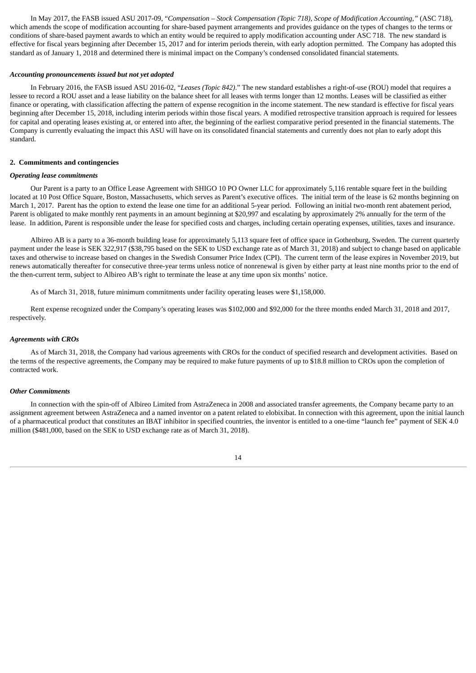In May 2017, the FASB issued ASU 2017-09, "*Compensation – Stock Compensation (Topic 718), Scope of Modification Accounting,"* (ASC 718), which amends the scope of modification accounting for share-based payment arrangements and provides guidance on the types of changes to the terms or conditions of share-based payment awards to which an entity would be required to apply modification accounting under ASC 718. The new standard is effective for fiscal years beginning after December 15, 2017 and for interim periods therein, with early adoption permitted. The Company has adopted this standard as of January 1, 2018 and determined there is minimal impact on the Company's condensed consolidated financial statements.

#### *Accounting pronouncements issued but not yet adopted*

In February 2016, the FASB issued ASU 2016-02, "*Leases (Topic 842)*." The new standard establishes a right-of-use (ROU) model that requires a lessee to record a ROU asset and a lease liability on the balance sheet for all leases with terms longer than 12 months. Leases will be classified as either finance or operating, with classification affecting the pattern of expense recognition in the income statement. The new standard is effective for fiscal years beginning after December 15, 2018, including interim periods within those fiscal years. A modified retrospective transition approach is required for lessees for capital and operating leases existing at, or entered into after, the beginning of the earliest comparative period presented in the financial statements. The Company is currently evaluating the impact this ASU will have on its consolidated financial statements and currently does not plan to early adopt this standard.

#### **2. Commitments and contingencies**

#### *Operating lease commitments*

Our Parent is a party to an Office Lease Agreement with SHIGO 10 PO Owner LLC for approximately 5,116 rentable square feet in the building located at 10 Post Office Square, Boston, Massachusetts, which serves as Parent's executive offices. The initial term of the lease is 62 months beginning on March 1, 2017. Parent has the option to extend the lease one time for an additional 5-year period. Following an initial two-month rent abatement period, Parent is obligated to make monthly rent payments in an amount beginning at \$20,997 and escalating by approximately 2% annually for the term of the lease. In addition, Parent is responsible under the lease for specified costs and charges, including certain operating expenses, utilities, taxes and insurance.

Albireo AB is a party to a 36-month building lease for approximately 5,113 square feet of office space in Gothenburg, Sweden. The current quarterly payment under the lease is SEK 322,917 (\$38,795 based on the SEK to USD exchange rate as of March 31, 2018) and subject to change based on applicable taxes and otherwise to increase based on changes in the Swedish Consumer Price Index (CPI). The current term of the lease expires in November 2019, but renews automatically thereafter for consecutive three-year terms unless notice of nonrenewal is given by either party at least nine months prior to the end of the then-current term, subject to Albireo AB's right to terminate the lease at any time upon six months' notice.

As of March 31, 2018, future minimum commitments under facility operating leases were \$1,158,000.

Rent expense recognized under the Company's operating leases was \$102,000 and \$92,000 for the three months ended March 31, 2018 and 2017, respectively.

#### *Agreements with CROs*

As of March 31, 2018, the Company had various agreements with CROs for the conduct of specified research and development activities. Based on the terms of the respective agreements, the Company may be required to make future payments of up to \$18.8 million to CROs upon the completion of contracted work.

#### *Other Commitments*

In connection with the spin-off of Albireo Limited from AstraZeneca in 2008 and associated transfer agreements, the Company became party to an assignment agreement between AstraZeneca and a named inventor on a patent related to elobixibat. In connection with this agreement, upon the initial launch of a pharmaceutical product that constitutes an IBAT inhibitor in specified countries, the inventor is entitled to a one-time "launch fee" payment of SEK 4.0 million (\$481,000, based on the SEK to USD exchange rate as of March 31, 2018).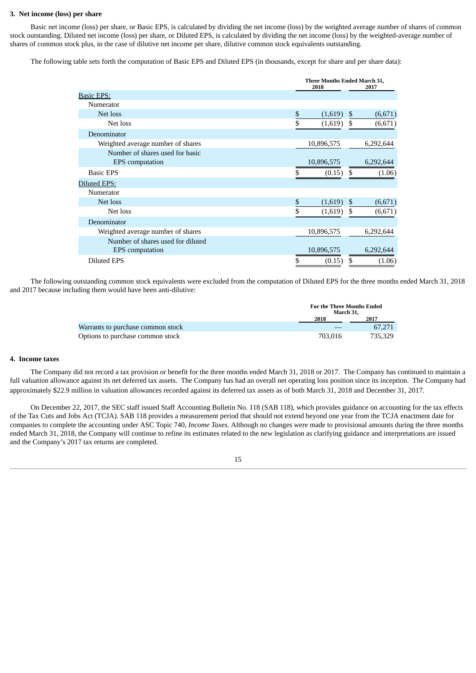#### **3. Net income (loss) per share**

Basic net income (loss) per share, or Basic EPS, is calculated by dividing the net income (loss) by the weighted average number of shares of common stock outstanding. Diluted net income (loss) per share, or Diluted EPS, is calculated by dividing the net income (loss) by the weighted-average number of shares of common stock plus, in the case of dilutive net income per share, dilutive common stock equivalents outstanding.

The following table sets forth the computation of Basic EPS and Diluted EPS (in thousands, except for share and per share data):

|                                                             | Three Months Ended March 31,<br>2018 | 2017 |           |
|-------------------------------------------------------------|--------------------------------------|------|-----------|
| <b>Basic EPS:</b>                                           |                                      |      |           |
| Numerator                                                   |                                      |      |           |
| Net loss                                                    | \$<br>(1,619)                        | \$   | (6,671)   |
| Net loss                                                    | \$<br>(1,619)                        | \$   | (6,671)   |
| Denominator                                                 |                                      |      |           |
| Weighted average number of shares                           | 10,896,575                           |      | 6,292,644 |
| Number of shares used for basic<br><b>EPS</b> computation   | 10,896,575                           |      | 6,292,644 |
| <b>Basic EPS</b>                                            | (0.15)                               | \$   | (1.06)    |
| Diluted EPS:                                                |                                      |      |           |
| Numerator                                                   |                                      |      |           |
| Net loss                                                    | \$<br>(1,619)                        | \$   | (6,671)   |
| Net loss                                                    | \$<br>(1,619)                        | \$   | (6,671)   |
| Denominator                                                 |                                      |      |           |
| Weighted average number of shares                           | 10,896,575                           |      | 6,292,644 |
| Number of shares used for diluted<br><b>EPS</b> computation | 10,896,575                           |      | 6,292,644 |
| <b>Diluted EPS</b>                                          | \$<br>(0.15)                         | \$   | (1.06)    |

The following outstanding common stock equivalents were excluded from the computation of Diluted EPS for the three months ended March 31, 2018 and 2017 because including them would have been anti-dilutive:

|                                   |         | <b>For the Three Months Ended</b><br>March 31. |  |  |
|-----------------------------------|---------|------------------------------------------------|--|--|
|                                   | 2018    | 2017                                           |  |  |
| Warrants to purchase common stock |         | 67.271                                         |  |  |
| Options to purchase common stock  | 703.016 | 735.329                                        |  |  |

#### **4. Income taxes**

The Company did not record a tax provision or benefit for the three months ended March 31, 2018 or 2017. The Company has continued to maintain a full valuation allowance against its net deferred tax assets. The Company has had an overall net operating loss position since its inception. The Company had approximately \$22.9 million in valuation allowances recorded against its deferred tax assets as of both March 31, 2018 and December 31, 2017.

On December 22, 2017, the SEC staff issued Staff Accounting Bulletin No. 118 (SAB 118), which provides guidance on accounting for the tax effects of the Tax Cuts and Jobs Act (TCJA). SAB 118 provides a measurement period that should not extend beyond one year from the TCJA enactment date for companies to complete the accounting under ASC Topic 740, *Income Taxes*. Although no changes were made to provisional amounts during the three months ended March 31, 2018, the Company will continue to refine its estimates related to the new legislation as clarifying guidance and interpretations are issued and the Company's 2017 tax returns are completed.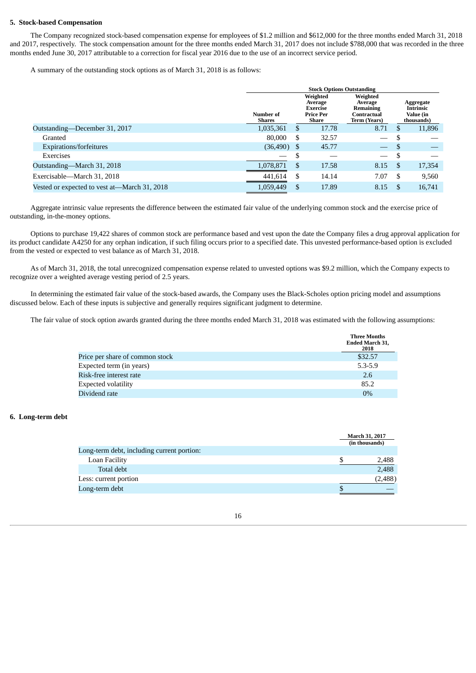#### **5. Stock-based Compensation**

The Company recognized stock-based compensation expense for employees of \$1.2 million and \$612,000 for the three months ended March 31, 2018 and 2017, respectively. The stock compensation amount for the three months ended March 31, 2017 does not include \$788,000 that was recorded in the three months ended June 30, 2017 attributable to a correction for fiscal year 2016 due to the use of an incorrect service period.

A summary of the outstanding stock options as of March 31, 2018 is as follows:

|                                              | <b>Stock Options Outstanding</b> |    |                                                              |                                                                 |          |                                                          |
|----------------------------------------------|----------------------------------|----|--------------------------------------------------------------|-----------------------------------------------------------------|----------|----------------------------------------------------------|
|                                              | Number of<br>Shares              |    | Weighted<br>Average<br>Exercise<br><b>Price Per</b><br>Share | Weighted<br>Average<br>Remaining<br>Contractual<br>Term (Years) |          | Aggregate<br><b>Intrinsic</b><br>Value (in<br>thousands) |
| Outstanding—December 31, 2017                | 1,035,361                        | S  | 17.78                                                        | 8.71                                                            | <b>S</b> | 11,896                                                   |
| Granted                                      | 80,000                           | S  | 32.57                                                        |                                                                 |          |                                                          |
| Expirations/forfeitures                      | (36, 490)                        | \$ | 45.77                                                        | $\overline{\phantom{0}}$                                        | -S       |                                                          |
| Exercises                                    |                                  | S  |                                                              | $\overline{\phantom{0}}$                                        | - S      |                                                          |
| Outstanding—March 31, 2018                   | 1,078,871                        | S  | 17.58                                                        | 8.15                                                            |          | 17,354                                                   |
| Exercisable-March 31, 2018                   | 441,614                          | S  | 14.14                                                        | 7.07                                                            | -S       | 9,560                                                    |
| Vested or expected to vest at—March 31, 2018 | 1,059,449                        |    | 17.89                                                        | 8.15                                                            |          | 16,741                                                   |

Aggregate intrinsic value represents the difference between the estimated fair value of the underlying common stock and the exercise price of outstanding, in-the-money options.

Options to purchase 19,422 shares of common stock are performance based and vest upon the date the Company files a drug approval application for its product candidate A4250 for any orphan indication, if such filing occurs prior to a specified date. This unvested performance-based option is excluded from the vested or expected to vest balance as of March 31, 2018.

As of March 31, 2018, the total unrecognized compensation expense related to unvested options was \$9.2 million, which the Company expects to recognize over a weighted average vesting period of 2.5 years.

In determining the estimated fair value of the stock-based awards, the Company uses the Black-Scholes option pricing model and assumptions discussed below. Each of these inputs is subjective and generally requires significant judgment to determine.

The fair value of stock option awards granted during the three months ended March 31, 2018 was estimated with the following assumptions:

|                                 | <b>Three Months</b><br><b>Ended March 31,</b><br>2018 |
|---------------------------------|-------------------------------------------------------|
| Price per share of common stock | \$32.57                                               |
| Expected term (in years)        | $5.3 - 5.9$                                           |
| Risk-free interest rate         | 2.6                                                   |
| <b>Expected volatility</b>      | 85.2                                                  |
| Dividend rate                   | $0\%$                                                 |

#### **6. Long-term debt**

|                                            | March 31, 2017<br>(in thousands) |
|--------------------------------------------|----------------------------------|
| Long-term debt, including current portion: |                                  |
| Loan Facility                              | 2,488                            |
| Total debt                                 | 2,488                            |
| Less: current portion                      | (2,488)                          |
| Long-term debt                             | \$                               |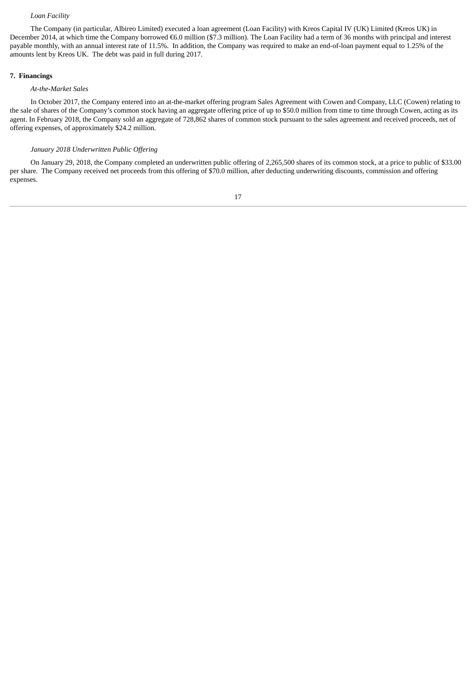#### *Loan Facility*

The Company (in particular, Albireo Limited) executed a loan agreement (Loan Facility) with Kreos Capital IV (UK) Limited (Kreos UK) in December 2014, at which time the Company borrowed €6.0 million (\$7.3 million). The Loan Facility had a term of 36 months with principal and interest payable monthly, with an annual interest rate of 11.5%. In addition, the Company was required to make an end-of-loan payment equal to 1.25% of the amounts lent by Kreos UK. The debt was paid in full during 2017.

#### **7. Financings**

#### *At-the-Market Sales*

In October 2017, the Company entered into an at-the-market offering program Sales Agreement with Cowen and Company, LLC (Cowen) relating to the sale of shares of the Company's common stock having an aggregate offering price of up to \$50.0 million from time to time through Cowen, acting as its agent. In February 2018, the Company sold an aggregate of 728,862 shares of common stock pursuant to the sales agreement and received proceeds, net of offering expenses, of approximately \$24.2 million.

#### *January 2018 Underwritten Public Offering*

On January 29, 2018, the Company completed an underwritten public offering of 2,265,500 shares of its common stock, at a price to public of \$33.00 per share. The Company received net proceeds from this offering of \$70.0 million, after deducting underwriting discounts, commission and offering expenses.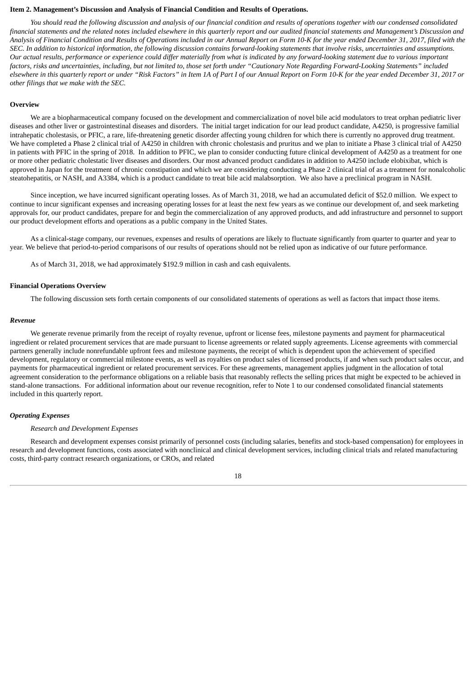#### <span id="page-17-0"></span>**Item 2. Management's Discussion and Analysis of Financial Condition and Results of Operations.**

You should read the following discussion and analysis of our financial condition and results of operations together with our condensed consolidated financial statements and the related notes included elsewhere in this quarterly report and our audited financial statements and Management's Discussion and Analysis of Financial Condition and Results of Operations included in our Annual Report on Form 10-K for the year ended December 31, 2017, filed with the SEC. In addition to historical information, the following discussion contains forward-looking statements that involve risks, uncertainties and assumptions. Our actual results, performance or experience could differ materially from what is indicated by any forward-looking statement due to various important factors, risks and uncertainties, including, but not limited to, those set forth under "Cautionary Note Regarding Forward-Looking Statements" included elsewhere in this quarterly report or under "Risk Factors" in Item 1A of Part I of our Annual Report on Form 10-K for the year ended December 31, 2017 or *other filings that we make with the SEC.*

#### **Overview**

We are a biopharmaceutical company focused on the development and commercialization of novel bile acid modulators to treat orphan pediatric liver diseases and other liver or gastrointestinal diseases and disorders. The initial target indication for our lead product candidate, A4250, is progressive familial intrahepatic cholestasis, or PFIC, a rare, life-threatening genetic disorder affecting young children for which there is currently no approved drug treatment. We have completed a Phase 2 clinical trial of A4250 in children with chronic cholestasis and pruritus and we plan to initiate a Phase 3 clinical trial of A4250 in patients with PFIC in the spring of 2018. In addition to PFIC, we plan to consider conducting future clinical development of A4250 as a treatment for one or more other pediatric cholestatic liver diseases and disorders. Our most advanced product candidates in addition to A4250 include elobixibat, which is approved in Japan for the treatment of chronic constipation and which we are considering conducting a Phase 2 clinical trial of as a treatment for nonalcoholic steatohepatitis, or NASH, and A3384, which is a product candidate to treat bile acid malabsorption. We also have a preclinical program in NASH.

Since inception, we have incurred significant operating losses. As of March 31, 2018, we had an accumulated deficit of \$52.0 million. We expect to continue to incur significant expenses and increasing operating losses for at least the next few years as we continue our development of, and seek marketing approvals for, our product candidates, prepare for and begin the commercialization of any approved products, and add infrastructure and personnel to support our product development efforts and operations as a public company in the United States.

As a clinical-stage company, our revenues, expenses and results of operations are likely to fluctuate significantly from quarter to quarter and year to year. We believe that period-to-period comparisons of our results of operations should not be relied upon as indicative of our future performance.

As of March 31, 2018, we had approximately \$192.9 million in cash and cash equivalents.

#### **Financial Operations Overview**

The following discussion sets forth certain components of our consolidated statements of operations as well as factors that impact those items.

#### *Revenue*

We generate revenue primarily from the receipt of royalty revenue, upfront or license fees, milestone payments and payment for pharmaceutical ingredient or related procurement services that are made pursuant to license agreements or related supply agreements. License agreements with commercial partners generally include nonrefundable upfront fees and milestone payments, the receipt of which is dependent upon the achievement of specified development, regulatory or commercial milestone events, as well as royalties on product sales of licensed products, if and when such product sales occur, and payments for pharmaceutical ingredient or related procurement services. For these agreements, management applies judgment in the allocation of total agreement consideration to the performance obligations on a reliable basis that reasonably reflects the selling prices that might be expected to be achieved in stand-alone transactions. For additional information about our revenue recognition, refer to Note 1 to our condensed consolidated financial statements included in this quarterly report.

#### *Operating Expenses*

#### *Research and Development Expenses*

Research and development expenses consist primarily of personnel costs (including salaries, benefits and stock-based compensation) for employees in research and development functions, costs associated with nonclinical and clinical development services, including clinical trials and related manufacturing costs, third-party contract research organizations, or CROs, and related

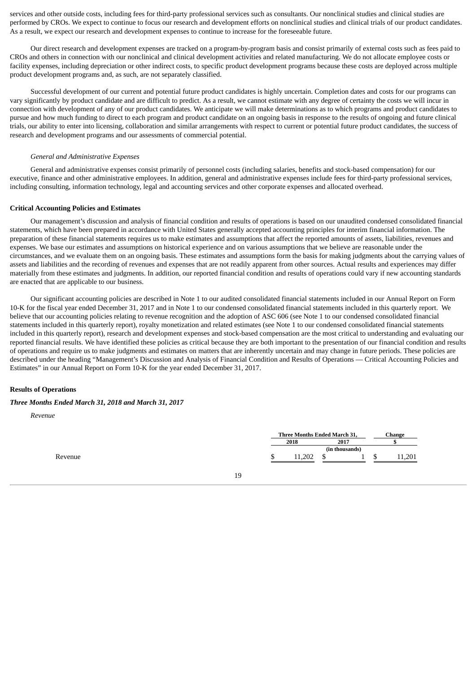services and other outside costs, including fees for third-party professional services such as consultants. Our nonclinical studies and clinical studies are performed by CROs. We expect to continue to focus our research and development efforts on nonclinical studies and clinical trials of our product candidates. As a result, we expect our research and development expenses to continue to increase for the foreseeable future.

Our direct research and development expenses are tracked on a program-by-program basis and consist primarily of external costs such as fees paid to CROs and others in connection with our nonclinical and clinical development activities and related manufacturing. We do not allocate employee costs or facility expenses, including depreciation or other indirect costs, to specific product development programs because these costs are deployed across multiple product development programs and, as such, are not separately classified.

Successful development of our current and potential future product candidates is highly uncertain. Completion dates and costs for our programs can vary significantly by product candidate and are difficult to predict. As a result, we cannot estimate with any degree of certainty the costs we will incur in connection with development of any of our product candidates. We anticipate we will make determinations as to which programs and product candidates to pursue and how much funding to direct to each program and product candidate on an ongoing basis in response to the results of ongoing and future clinical trials, our ability to enter into licensing, collaboration and similar arrangements with respect to current or potential future product candidates, the success of research and development programs and our assessments of commercial potential.

#### *General and Administrative Expenses*

General and administrative expenses consist primarily of personnel costs (including salaries, benefits and stock-based compensation) for our executive, finance and other administrative employees. In addition, general and administrative expenses include fees for third-party professional services, including consulting, information technology, legal and accounting services and other corporate expenses and allocated overhead.

#### **Critical Accounting Policies and Estimates**

Our management's discussion and analysis of financial condition and results of operations is based on our unaudited condensed consolidated financial statements, which have been prepared in accordance with United States generally accepted accounting principles for interim financial information. The preparation of these financial statements requires us to make estimates and assumptions that affect the reported amounts of assets, liabilities, revenues and expenses. We base our estimates and assumptions on historical experience and on various assumptions that we believe are reasonable under the circumstances, and we evaluate them on an ongoing basis. These estimates and assumptions form the basis for making judgments about the carrying values of assets and liabilities and the recording of revenues and expenses that are not readily apparent from other sources. Actual results and experiences may differ materially from these estimates and judgments. In addition, our reported financial condition and results of operations could vary if new accounting standards are enacted that are applicable to our business.

Our significant accounting policies are described in Note 1 to our audited consolidated financial statements included in our Annual Report on Form 10-K for the fiscal year ended December 31, 2017 and in Note 1 to our condensed consolidated financial statements included in this quarterly report. We believe that our accounting policies relating to revenue recognition and the adoption of ASC 606 (see Note 1 to our condensed consolidated financial statements included in this quarterly report), royalty monetization and related estimates (see Note 1 to our condensed consolidated financial statements included in this quarterly report), research and development expenses and stock-based compensation are the most critical to understanding and evaluating our reported financial results. We have identified these policies as critical because they are both important to the presentation of our financial condition and results of operations and require us to make judgments and estimates on matters that are inherently uncertain and may change in future periods. These policies are described under the heading "Management's Discussion and Analysis of Financial Condition and Results of Operations — Critical Accounting Policies and Estimates" in our Annual Report on Form 10-K for the year ended December 31, 2017.

#### **Results of Operations**

#### *Three Months Ended March 31, 2018 and March 31, 2017*

*Revenue*

|         | Three Months Ended March 31, |     |  | Change |    |     |
|---------|------------------------------|-----|--|--------|----|-----|
|         | 2018<br>2017                 |     |  |        |    |     |
|         | (in thousands)               |     |  |        |    |     |
| Revenue |                              | 202 |  |        | ۰D | 201 |
|         |                              |     |  |        |    |     |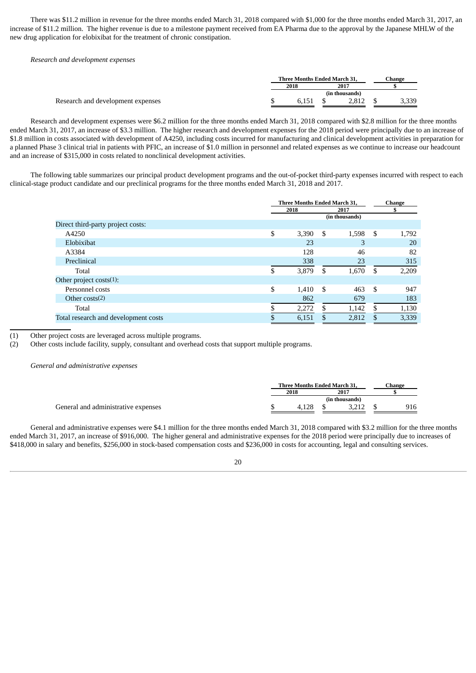There was \$11.2 million in revenue for the three months ended March 31, 2018 compared with \$1,000 for the three months ended March 31, 2017, an increase of \$11.2 million. The higher revenue is due to a milestone payment received from EA Pharma due to the approval by the Japanese MHLW of the new drug application for elobixibat for the treatment of chronic constipation.

*Research and development expenses*

|                                   | <b>Three Months Ended March 31.</b> |       |      | Change         |       |  |
|-----------------------------------|-------------------------------------|-------|------|----------------|-------|--|
|                                   | 2018                                |       | 2017 |                |       |  |
|                                   |                                     |       |      | (in thousands) |       |  |
| Research and development expenses |                                     | 6.151 |      | 2.812          | 3,339 |  |

Research and development expenses were \$6.2 million for the three months ended March 31, 2018 compared with \$2.8 million for the three months ended March 31, 2017, an increase of \$3.3 million. The higher research and development expenses for the 2018 period were principally due to an increase of \$1.8 million in costs associated with development of A4250, including costs incurred for manufacturing and clinical development activities in preparation for a planned Phase 3 clinical trial in patients with PFIC, an increase of \$1.0 million in personnel and related expenses as we continue to increase our headcount and an increase of \$315,000 in costs related to nonclinical development activities.

The following table summarizes our principal product development programs and the out-of-pocket third-party expenses incurred with respect to each clinical-stage product candidate and our preclinical programs for the three months ended March 31, 2018 and 2017.

|                                      | Three Months Ended March 31, | <b>Change</b> |             |
|--------------------------------------|------------------------------|---------------|-------------|
|                                      | 2018<br>2017                 |               | \$          |
|                                      |                              |               |             |
| Direct third-party project costs:    |                              |               |             |
| A4250                                | \$<br>3,390                  | \$<br>1,598   | \$<br>1,792 |
| Elobixibat                           | 23                           | 3             | 20          |
| A3384                                | 128                          | 46            | 82          |
| Preclinical                          | 338                          | 23            | 315         |
| Total                                | \$<br>3,879                  | 1,670<br>S    | 2,209<br>S  |
| Other project costs $(1)$ :          |                              |               |             |
| Personnel costs                      | \$<br>1,410                  | S<br>463      | \$<br>947   |
| Other $costs(2)$                     | 862                          | 679           | 183         |
| Total                                | \$<br>2,272                  | \$<br>1,142   | 1,130<br>S  |
| Total research and development costs | 6,151                        | 2,812<br>\$   | 3,339<br>\$ |

(1) Other project costs are leveraged across multiple programs.

(2) Other costs include facility, supply, consultant and overhead costs that support multiple programs.

*General and administrative expenses*

|                                     | <b>Three Months Ended March 31.</b> |  |  |  | Change |
|-------------------------------------|-------------------------------------|--|--|--|--------|
|                                     | 2018<br>2017                        |  |  |  |        |
|                                     | (in thousands)                      |  |  |  |        |
| General and administrative expenses | 128                                 |  |  |  | 916    |

General and administrative expenses were \$4.1 million for the three months ended March 31, 2018 compared with \$3.2 million for the three months ended March 31, 2017, an increase of \$916,000. The higher general and administrative expenses for the 2018 period were principally due to increases of \$418,000 in salary and benefits, \$256,000 in stock-based compensation costs and \$236,000 in costs for accounting, legal and consulting services.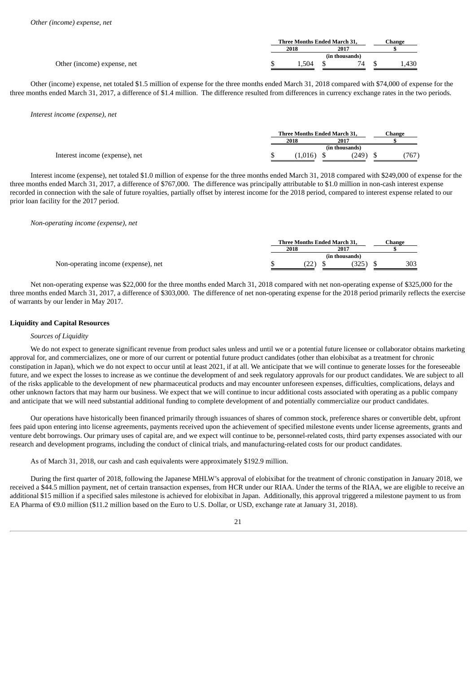|                             | <b>Three Months Ended March 31.</b> |      | Change |       |
|-----------------------------|-------------------------------------|------|--------|-------|
|                             | 2018                                | 2017 |        |       |
|                             |                                     |      |        |       |
| Other (income) expense, net | .504                                | 74   |        | 1,430 |

Other (income) expense, net totaled \$1.5 million of expense for the three months ended March 31, 2018 compared with \$74,000 of expense for the three months ended March 31, 2017, a difference of \$1.4 million. The difference resulted from differences in currency exchange rates in the two periods.

*Interest income (expense), net*

|        | <b>Three Months Ended March 31.</b> | Change |
|--------|-------------------------------------|--------|
| 2018   | 2017                                |        |
|        |                                     |        |
| 0.016) | (249)                               | 767    |

Interest income (expense), net totaled \$1.0 million of expense for the three months ended March 31, 2018 compared with \$249,000 of expense for the three months ended March 31, 2017, a difference of \$767,000. The difference was principally attributable to \$1.0 million in non-cash interest expense recorded in connection with the sale of future royalties, partially offset by interest income for the 2018 period, compared to interest expense related to our prior loan facility for the 2017 period.

*Non-operating income (expense), net*

|                                     | <b>Three Months Ended March 31.</b> |              |  | ∵hange |     |  |
|-------------------------------------|-------------------------------------|--------------|--|--------|-----|--|
|                                     | 2018<br>2017                        |              |  |        |     |  |
|                                     | (in thousands)                      |              |  |        |     |  |
| Non-operating income (expense), net |                                     | $22^{\circ}$ |  |        | 303 |  |

Net non-operating expense was \$22,000 for the three months ended March 31, 2018 compared with net non-operating expense of \$325,000 for the three months ended March 31, 2017, a difference of \$303,000. The difference of net non-operating expense for the 2018 period primarily reflects the exercise of warrants by our lender in May 2017.

#### **Liquidity and Capital Resources**

#### *Sources of Liquidity*

We do not expect to generate significant revenue from product sales unless and until we or a potential future licensee or collaborator obtains marketing approval for, and commercializes, one or more of our current or potential future product candidates (other than elobixibat as a treatment for chronic constipation in Japan), which we do not expect to occur until at least 2021, if at all. We anticipate that we will continue to generate losses for the foreseeable future, and we expect the losses to increase as we continue the development of and seek regulatory approvals for our product candidates. We are subject to all of the risks applicable to the development of new pharmaceutical products and may encounter unforeseen expenses, difficulties, complications, delays and other unknown factors that may harm our business. We expect that we will continue to incur additional costs associated with operating as a public company and anticipate that we will need substantial additional funding to complete development of and potentially commercialize our product candidates.

Our operations have historically been financed primarily through issuances of shares of common stock, preference shares or convertible debt, upfront fees paid upon entering into license agreements, payments received upon the achievement of specified milestone events under license agreements, grants and venture debt borrowings. Our primary uses of capital are, and we expect will continue to be, personnel-related costs, third party expenses associated with our research and development programs, including the conduct of clinical trials, and manufacturing-related costs for our product candidates.

As of March 31, 2018, our cash and cash equivalents were approximately \$192.9 million.

During the first quarter of 2018, following the Japanese MHLW's approval of elobixibat for the treatment of chronic constipation in January 2018, we received a \$44.5 million payment, net of certain transaction expenses, from HCR under our RIAA. Under the terms of the RIAA, we are eligible to receive an additional \$15 million if a specified sales milestone is achieved for elobixibat in Japan. Additionally, this approval triggered a milestone payment to us from EA Pharma of €9.0 million (\$11.2 million based on the Euro to U.S. Dollar, or USD, exchange rate at January 31, 2018).

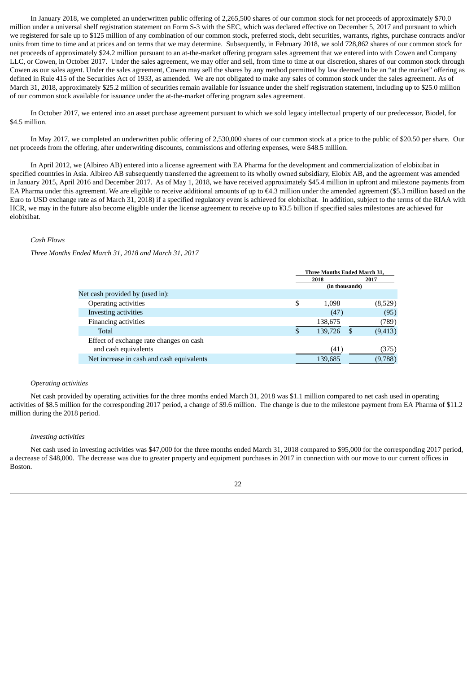In January 2018, we completed an underwritten public offering of 2,265,500 shares of our common stock for net proceeds of approximately \$70.0 million under a universal shelf registration statement on Form S-3 with the SEC, which was declared effective on December 5, 2017 and pursuant to which we registered for sale up to \$125 million of any combination of our common stock, preferred stock, debt securities, warrants, rights, purchase contracts and/or units from time to time and at prices and on terms that we may determine. Subsequently, in February 2018, we sold 728,862 shares of our common stock for net proceeds of approximately \$24.2 million pursuant to an at-the-market offering program sales agreement that we entered into with Cowen and Company LLC, or Cowen, in October 2017. Under the sales agreement, we may offer and sell, from time to time at our discretion, shares of our common stock through Cowen as our sales agent. Under the sales agreement, Cowen may sell the shares by any method permitted by law deemed to be an "at the market" offering as defined in Rule 415 of the Securities Act of 1933, as amended. We are not obligated to make any sales of common stock under the sales agreement. As of March 31, 2018, approximately \$25.2 million of securities remain available for issuance under the shelf registration statement, including up to \$25.0 million of our common stock available for issuance under the at-the-market offering program sales agreement.

In October 2017, we entered into an asset purchase agreement pursuant to which we sold legacy intellectual property of our predecessor, Biodel, for \$4.5 million.

In May 2017, we completed an underwritten public offering of 2,530,000 shares of our common stock at a price to the public of \$20.50 per share. Our net proceeds from the offering, after underwriting discounts, commissions and offering expenses, were \$48.5 million.

In April 2012, we (Albireo AB) entered into a license agreement with EA Pharma for the development and commercialization of elobixibat in specified countries in Asia. Albireo AB subsequently transferred the agreement to its wholly owned subsidiary, Elobix AB, and the agreement was amended in January 2015, April 2016 and December 2017. As of May 1, 2018, we have received approximately \$45.4 million in upfront and milestone payments from EA Pharma under this agreement. We are eligible to receive additional amounts of up to  $\epsilon$ 4.3 million under the amended agreement (\$5.3 million based on the Euro to USD exchange rate as of March 31, 2018) if a specified regulatory event is achieved for elobixibat. In addition, subject to the terms of the RIAA with HCR, we may in the future also become eligible under the license agreement to receive up to ¥3.5 billion if specified sales milestones are achieved for elobixibat.

#### *Cash Flows*

*Three Months Ended March 31, 2018 and March 31, 2017*

|                                           | Three Months Ended March 31, |                |    |          |
|-------------------------------------------|------------------------------|----------------|----|----------|
|                                           |                              | 2018           |    | 2017     |
|                                           |                              | (in thousands) |    |          |
| Net cash provided by (used in):           |                              |                |    |          |
| Operating activities                      | \$                           | 1,098          |    | (8,529)  |
| Investing activities                      |                              | (47)           |    | (95)     |
| <b>Financing activities</b>               |                              | 138,675        |    | (789)    |
| Total                                     |                              | 139,726        | -S | (9, 413) |
| Effect of exchange rate changes on cash   |                              |                |    |          |
| and cash equivalents                      |                              | (41)           |    | (375)    |
| Net increase in cash and cash equivalents |                              | 139,685        |    | (9,788)  |

#### *Operating activities*

Net cash provided by operating activities for the three months ended March 31, 2018 was \$1.1 million compared to net cash used in operating activities of \$8.5 million for the corresponding 2017 period, a change of \$9.6 million. The change is due to the milestone payment from EA Pharma of \$11.2 million during the 2018 period.

#### *Investing activities*

Net cash used in investing activities was \$47,000 for the three months ended March 31, 2018 compared to \$95,000 for the corresponding 2017 period, a decrease of \$48,000. The decrease was due to greater property and equipment purchases in 2017 in connection with our move to our current offices in Boston.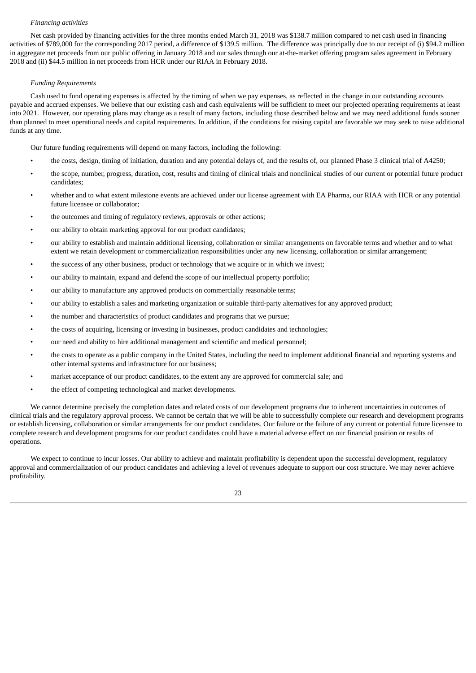#### *Financing activities*

Net cash provided by financing activities for the three months ended March 31, 2018 was \$138.7 million compared to net cash used in financing activities of \$789,000 for the corresponding 2017 period, a difference of \$139.5 million. The difference was principally due to our receipt of (i) \$94.2 million in aggregate net proceeds from our public offering in January 2018 and our sales through our at-the-market offering program sales agreement in February 2018 and (ii) \$44.5 million in net proceeds from HCR under our RIAA in February 2018.

#### *Funding Requirements*

Cash used to fund operating expenses is affected by the timing of when we pay expenses, as reflected in the change in our outstanding accounts payable and accrued expenses. We believe that our existing cash and cash equivalents will be sufficient to meet our projected operating requirements at least into 2021. However, our operating plans may change as a result of many factors, including those described below and we may need additional funds sooner than planned to meet operational needs and capital requirements. In addition, if the conditions for raising capital are favorable we may seek to raise additional funds at any time.

Our future funding requirements will depend on many factors, including the following:

- the costs, design, timing of initiation, duration and any potential delays of, and the results of, our planned Phase 3 clinical trial of A4250;
- the scope, number, progress, duration, cost, results and timing of clinical trials and nonclinical studies of our current or potential future product candidates;
- whether and to what extent milestone events are achieved under our license agreement with EA Pharma, our RIAA with HCR or any potential future licensee or collaborator;
- the outcomes and timing of regulatory reviews, approvals or other actions;
- our ability to obtain marketing approval for our product candidates;
- our ability to establish and maintain additional licensing, collaboration or similar arrangements on favorable terms and whether and to what extent we retain development or commercialization responsibilities under any new licensing, collaboration or similar arrangement;
- the success of any other business, product or technology that we acquire or in which we invest;
- our ability to maintain, expand and defend the scope of our intellectual property portfolio;
- our ability to manufacture any approved products on commercially reasonable terms;
- our ability to establish a sales and marketing organization or suitable third-party alternatives for any approved product;
- the number and characteristics of product candidates and programs that we pursue;
- the costs of acquiring, licensing or investing in businesses, product candidates and technologies;
- our need and ability to hire additional management and scientific and medical personnel;
- the costs to operate as a public company in the United States, including the need to implement additional financial and reporting systems and other internal systems and infrastructure for our business;
- market acceptance of our product candidates, to the extent any are approved for commercial sale; and
- the effect of competing technological and market developments.

We cannot determine precisely the completion dates and related costs of our development programs due to inherent uncertainties in outcomes of clinical trials and the regulatory approval process. We cannot be certain that we will be able to successfully complete our research and development programs or establish licensing, collaboration or similar arrangements for our product candidates. Our failure or the failure of any current or potential future licensee to complete research and development programs for our product candidates could have a material adverse effect on our financial position or results of operations.

We expect to continue to incur losses. Our ability to achieve and maintain profitability is dependent upon the successful development, regulatory approval and commercialization of our product candidates and achieving a level of revenues adequate to support our cost structure. We may never achieve profitability.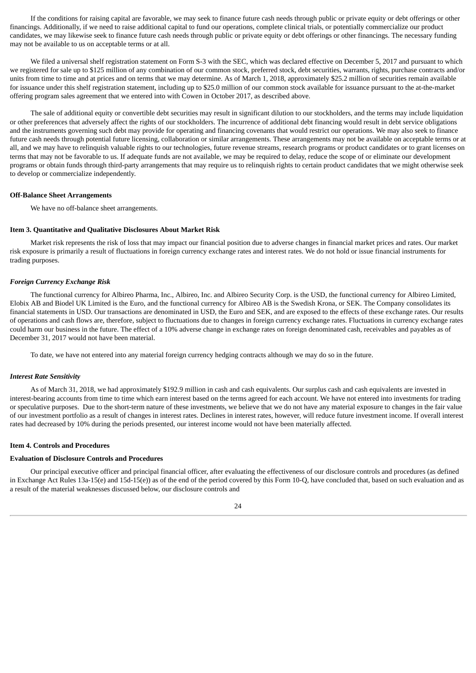If the conditions for raising capital are favorable, we may seek to finance future cash needs through public or private equity or debt offerings or other financings. Additionally, if we need to raise additional capital to fund our operations, complete clinical trials, or potentially commercialize our product candidates, we may likewise seek to finance future cash needs through public or private equity or debt offerings or other financings. The necessary funding may not be available to us on acceptable terms or at all.

We filed a universal shelf registration statement on Form S-3 with the SEC, which was declared effective on December 5, 2017 and pursuant to which we registered for sale up to \$125 million of any combination of our common stock, preferred stock, debt securities, warrants, rights, purchase contracts and/or units from time to time and at prices and on terms that we may determine. As of March 1, 2018, approximately \$25.2 million of securities remain available for issuance under this shelf registration statement, including up to \$25.0 million of our common stock available for issuance pursuant to the at-the-market offering program sales agreement that we entered into with Cowen in October 2017, as described above.

The sale of additional equity or convertible debt securities may result in significant dilution to our stockholders, and the terms may include liquidation or other preferences that adversely affect the rights of our stockholders. The incurrence of additional debt financing would result in debt service obligations and the instruments governing such debt may provide for operating and financing covenants that would restrict our operations. We may also seek to finance future cash needs through potential future licensing, collaboration or similar arrangements. These arrangements may not be available on acceptable terms or at all, and we may have to relinquish valuable rights to our technologies, future revenue streams, research programs or product candidates or to grant licenses on terms that may not be favorable to us. If adequate funds are not available, we may be required to delay, reduce the scope of or eliminate our development programs or obtain funds through third-party arrangements that may require us to relinquish rights to certain product candidates that we might otherwise seek to develop or commercialize independently.

#### **Off-Balance Sheet Arrangements**

We have no off-balance sheet arrangements.

#### <span id="page-23-0"></span>**Item 3. Quantitative and Qualitative Disclosures About Market Risk**

Market risk represents the risk of loss that may impact our financial position due to adverse changes in financial market prices and rates. Our market risk exposure is primarily a result of fluctuations in foreign currency exchange rates and interest rates. We do not hold or issue financial instruments for trading purposes.

#### *Foreign Currency Exchange Risk*

The functional currency for Albireo Pharma, Inc., Albireo, Inc. and Albireo Security Corp. is the USD, the functional currency for Albireo Limited, Elobix AB and Biodel UK Limited is the Euro, and the functional currency for Albireo AB is the Swedish Krona, or SEK. The Company consolidates its financial statements in USD. Our transactions are denominated in USD, the Euro and SEK, and are exposed to the effects of these exchange rates. Our results of operations and cash flows are, therefore, subject to fluctuations due to changes in foreign currency exchange rates. Fluctuations in currency exchange rates could harm our business in the future. The effect of a 10% adverse change in exchange rates on foreign denominated cash, receivables and payables as of December 31, 2017 would not have been material.

To date, we have not entered into any material foreign currency hedging contracts although we may do so in the future.

#### *Interest Rate Sensitivity*

As of March 31, 2018, we had approximately \$192.9 million in cash and cash equivalents. Our surplus cash and cash equivalents are invested in interest-bearing accounts from time to time which earn interest based on the terms agreed for each account. We have not entered into investments for trading or speculative purposes. Due to the short-term nature of these investments, we believe that we do not have any material exposure to changes in the fair value of our investment portfolio as a result of changes in interest rates. Declines in interest rates, however, will reduce future investment income. If overall interest rates had decreased by 10% during the periods presented, our interest income would not have been materially affected.

#### <span id="page-23-1"></span>**Item 4. Controls and Procedures**

#### **Evaluation of Disclosure Controls and Procedures**

Our principal executive officer and principal financial officer, after evaluating the effectiveness of our disclosure controls and procedures (as defined in Exchange Act Rules 13a-15(e) and 15d-15(e)) as of the end of the period covered by this Form 10-Q, have concluded that, based on such evaluation and as a result of the material weaknesses discussed below, our disclosure controls and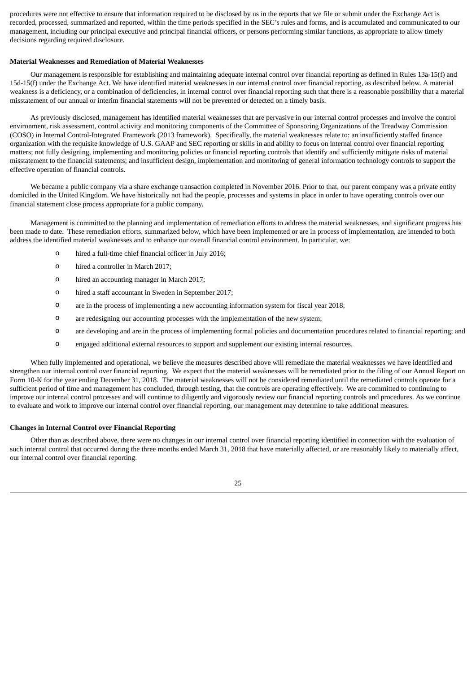procedures were not effective to ensure that information required to be disclosed by us in the reports that we file or submit under the Exchange Act is recorded, processed, summarized and reported, within the time periods specified in the SEC's rules and forms, and is accumulated and communicated to our management, including our principal executive and principal financial officers, or persons performing similar functions, as appropriate to allow timely decisions regarding required disclosure.

#### **Material Weaknesses and Remediation of Material Weaknesses**

Our management is responsible for establishing and maintaining adequate internal control over financial reporting as defined in Rules 13a-15(f) and 15d-15(f) under the Exchange Act. We have identified material weaknesses in our internal control over financial reporting, as described below. A material weakness is a deficiency, or a combination of deficiencies, in internal control over financial reporting such that there is a reasonable possibility that a material misstatement of our annual or interim financial statements will not be prevented or detected on a timely basis.

As previously disclosed, management has identified material weaknesses that are pervasive in our internal control processes and involve the control environment, risk assessment, control activity and monitoring components of the Committee of Sponsoring Organizations of the Treadway Commission (COSO) in Internal Control-Integrated Framework (2013 framework). Specifically, the material weaknesses relate to: an insufficiently staffed finance organization with the requisite knowledge of U.S. GAAP and SEC reporting or skills in and ability to focus on internal control over financial reporting matters; not fully designing, implementing and monitoring policies or financial reporting controls that identify and sufficiently mitigate risks of material misstatement to the financial statements; and insufficient design, implementation and monitoring of general information technology controls to support the effective operation of financial controls.

We became a public company via a share exchange transaction completed in November 2016. Prior to that, our parent company was a private entity domiciled in the United Kingdom. We have historically not had the people, processes and systems in place in order to have operating controls over our financial statement close process appropriate for a public company.

Management is committed to the planning and implementation of remediation efforts to address the material weaknesses, and significant progress has been made to date. These remediation efforts, summarized below, which have been implemented or are in process of implementation, are intended to both address the identified material weaknesses and to enhance our overall financial control environment. In particular, we:

- o hired a full-time chief financial officer in July 2016;
- o hired a controller in March 2017;
- o hired an accounting manager in March 2017;
- o hired a staff accountant in Sweden in September 2017;
- o are in the process of implementing a new accounting information system for fiscal year 2018;
- o are redesigning our accounting processes with the implementation of the new system;
- o are developing and are in the process of implementing formal policies and documentation procedures related to financial reporting; and
- o engaged additional external resources to support and supplement our existing internal resources.

When fully implemented and operational, we believe the measures described above will remediate the material weaknesses we have identified and strengthen our internal control over financial reporting. We expect that the material weaknesses will be remediated prior to the filing of our Annual Report on Form 10-K for the year ending December 31, 2018. The material weaknesses will not be considered remediated until the remediated controls operate for a sufficient period of time and management has concluded, through testing, that the controls are operating effectively. We are committed to continuing to improve our internal control processes and will continue to diligently and vigorously review our financial reporting controls and procedures. As we continue to evaluate and work to improve our internal control over financial reporting, our management may determine to take additional measures.

#### **Changes in Internal Control over Financial Reporting**

Other than as described above, there were no changes in our internal control over financial reporting identified in connection with the evaluation of such internal control that occurred during the three months ended March 31, 2018 that have materially affected, or are reasonably likely to materially affect, our internal control over financial reporting.

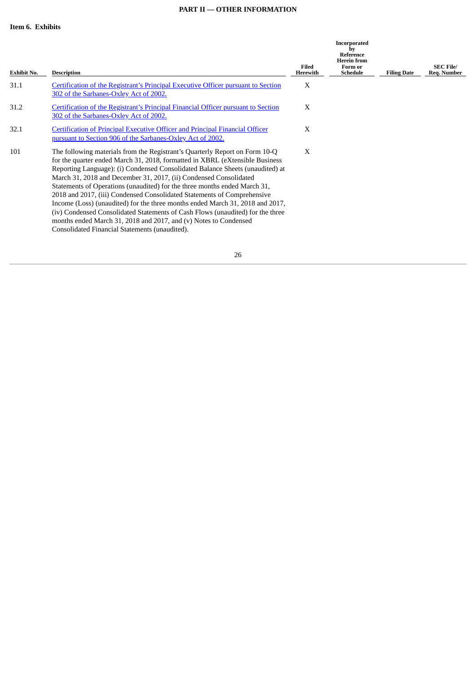## **PART II — OTHER INFORMATION**

<span id="page-25-1"></span><span id="page-25-0"></span>

|                    |                                                                                                                                                                                                                                                                                                                                                                                                                                                                                                                                                                                                                                                                                                                                                                    |                   | Incorporated<br>by<br>Reference<br><b>Herein</b> from |                    |                                 |
|--------------------|--------------------------------------------------------------------------------------------------------------------------------------------------------------------------------------------------------------------------------------------------------------------------------------------------------------------------------------------------------------------------------------------------------------------------------------------------------------------------------------------------------------------------------------------------------------------------------------------------------------------------------------------------------------------------------------------------------------------------------------------------------------------|-------------------|-------------------------------------------------------|--------------------|---------------------------------|
| <b>Exhibit No.</b> | <b>Description</b>                                                                                                                                                                                                                                                                                                                                                                                                                                                                                                                                                                                                                                                                                                                                                 | Filed<br>Herewith | Form or<br><b>Schedule</b>                            | <b>Filing Date</b> | <b>SEC File/</b><br>Reg. Number |
| 31.1               | Certification of the Registrant's Principal Executive Officer pursuant to Section<br>302 of the Sarbanes-Oxley Act of 2002.                                                                                                                                                                                                                                                                                                                                                                                                                                                                                                                                                                                                                                        | X                 |                                                       |                    |                                 |
| 31.2               | Certification of the Registrant's Principal Financial Officer pursuant to Section<br>302 of the Sarbanes-Oxley Act of 2002.                                                                                                                                                                                                                                                                                                                                                                                                                                                                                                                                                                                                                                        | X                 |                                                       |                    |                                 |
| 32.1               | <b>Certification of Principal Executive Officer and Principal Financial Officer</b><br>pursuant to Section 906 of the Sarbanes-Oxley Act of 2002.                                                                                                                                                                                                                                                                                                                                                                                                                                                                                                                                                                                                                  | X                 |                                                       |                    |                                 |
| 101                | The following materials from the Registrant's Quarterly Report on Form 10-Q<br>for the quarter ended March 31, 2018, formatted in XBRL (eXtensible Business<br>Reporting Language): (i) Condensed Consolidated Balance Sheets (unaudited) at<br>March 31, 2018 and December 31, 2017, (ii) Condensed Consolidated<br>Statements of Operations (unaudited) for the three months ended March 31,<br>2018 and 2017, (iii) Condensed Consolidated Statements of Comprehensive<br>Income (Loss) (unaudited) for the three months ended March 31, 2018 and 2017,<br>(iv) Condensed Consolidated Statements of Cash Flows (unaudited) for the three<br>months ended March 31, 2018 and 2017, and (v) Notes to Condensed<br>Consolidated Financial Statements (unaudited). | X                 |                                                       |                    |                                 |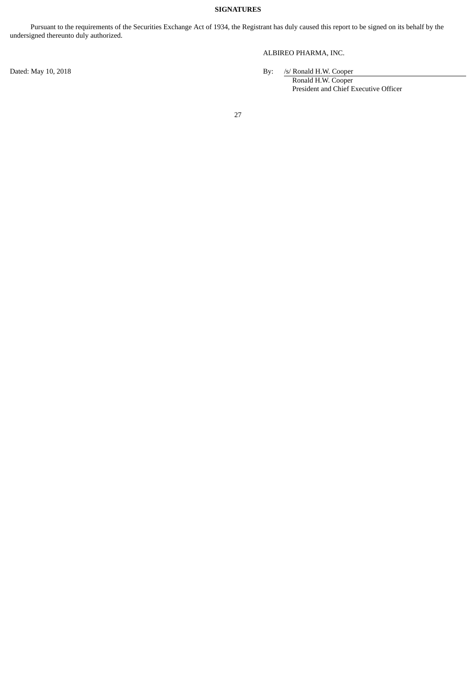## **SIGNATURES**

<span id="page-26-0"></span>Pursuant to the requirements of the Securities Exchange Act of 1934, the Registrant has duly caused this report to be signed on its behalf by the undersigned thereunto duly authorized.

ALBIREO PHARMA, INC.

Dated: May 10, 2018 By: *Is/ Ronald H.W. Cooper* 

Ronald H.W. Cooper President and Chief Executive Officer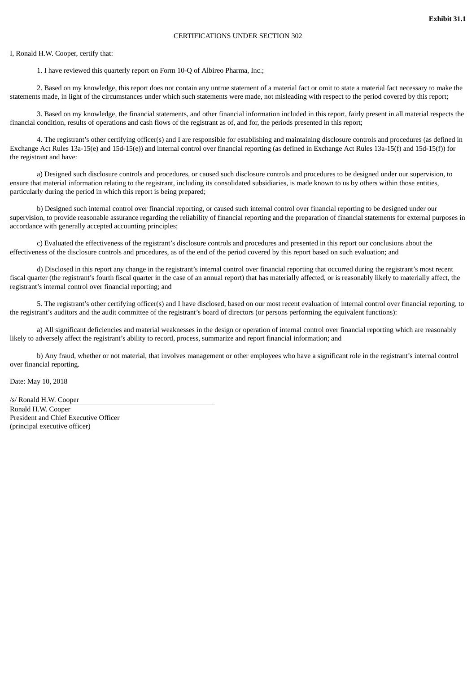#### CERTIFICATIONS UNDER SECTION 302

#### <span id="page-27-0"></span>I, Ronald H.W. Cooper, certify that:

1. I have reviewed this quarterly report on Form 10-Q of Albireo Pharma, Inc.;

2. Based on my knowledge, this report does not contain any untrue statement of a material fact or omit to state a material fact necessary to make the statements made, in light of the circumstances under which such statements were made, not misleading with respect to the period covered by this report;

3. Based on my knowledge, the financial statements, and other financial information included in this report, fairly present in all material respects the financial condition, results of operations and cash flows of the registrant as of, and for, the periods presented in this report;

4. The registrant's other certifying officer(s) and I are responsible for establishing and maintaining disclosure controls and procedures (as defined in Exchange Act Rules 13a-15(e) and 15d-15(e)) and internal control over financial reporting (as defined in Exchange Act Rules 13a-15(f) and 15d-15(f)) for the registrant and have:

a) Designed such disclosure controls and procedures, or caused such disclosure controls and procedures to be designed under our supervision, to ensure that material information relating to the registrant, including its consolidated subsidiaries, is made known to us by others within those entities, particularly during the period in which this report is being prepared;

b) Designed such internal control over financial reporting, or caused such internal control over financial reporting to be designed under our supervision, to provide reasonable assurance regarding the reliability of financial reporting and the preparation of financial statements for external purposes in accordance with generally accepted accounting principles;

c) Evaluated the effectiveness of the registrant's disclosure controls and procedures and presented in this report our conclusions about the effectiveness of the disclosure controls and procedures, as of the end of the period covered by this report based on such evaluation; and

d) Disclosed in this report any change in the registrant's internal control over financial reporting that occurred during the registrant's most recent fiscal quarter (the registrant's fourth fiscal quarter in the case of an annual report) that has materially affected, or is reasonably likely to materially affect, the registrant's internal control over financial reporting; and

5. The registrant's other certifying officer(s) and I have disclosed, based on our most recent evaluation of internal control over financial reporting, to the registrant's auditors and the audit committee of the registrant's board of directors (or persons performing the equivalent functions):

a) All significant deficiencies and material weaknesses in the design or operation of internal control over financial reporting which are reasonably likely to adversely affect the registrant's ability to record, process, summarize and report financial information; and

b) Any fraud, whether or not material, that involves management or other employees who have a significant role in the registrant's internal control over financial reporting.

Date: May 10, 2018

/s/ Ronald H.W. Cooper Ronald H.W. Cooper President and Chief Executive Officer (principal executive officer)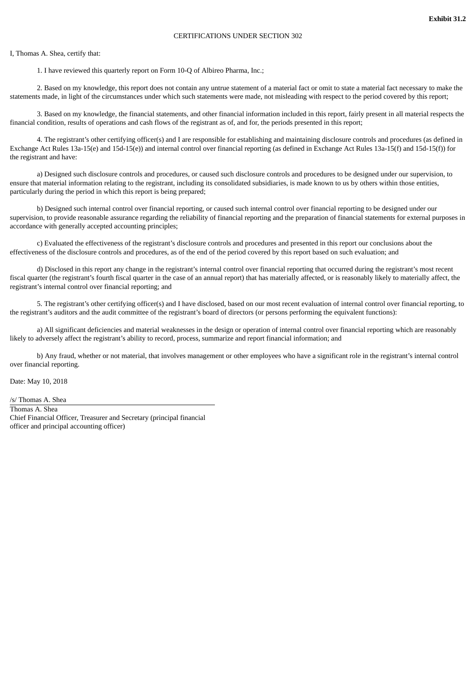#### CERTIFICATIONS UNDER SECTION 302

#### <span id="page-28-0"></span>I, Thomas A. Shea, certify that:

1. I have reviewed this quarterly report on Form 10-Q of Albireo Pharma, Inc.;

2. Based on my knowledge, this report does not contain any untrue statement of a material fact or omit to state a material fact necessary to make the statements made, in light of the circumstances under which such statements were made, not misleading with respect to the period covered by this report;

3. Based on my knowledge, the financial statements, and other financial information included in this report, fairly present in all material respects the financial condition, results of operations and cash flows of the registrant as of, and for, the periods presented in this report;

4. The registrant's other certifying officer(s) and I are responsible for establishing and maintaining disclosure controls and procedures (as defined in Exchange Act Rules 13a-15(e) and 15d-15(e)) and internal control over financial reporting (as defined in Exchange Act Rules 13a-15(f) and 15d-15(f)) for the registrant and have:

a) Designed such disclosure controls and procedures, or caused such disclosure controls and procedures to be designed under our supervision, to ensure that material information relating to the registrant, including its consolidated subsidiaries, is made known to us by others within those entities, particularly during the period in which this report is being prepared;

b) Designed such internal control over financial reporting, or caused such internal control over financial reporting to be designed under our supervision, to provide reasonable assurance regarding the reliability of financial reporting and the preparation of financial statements for external purposes in accordance with generally accepted accounting principles;

c) Evaluated the effectiveness of the registrant's disclosure controls and procedures and presented in this report our conclusions about the effectiveness of the disclosure controls and procedures, as of the end of the period covered by this report based on such evaluation; and

d) Disclosed in this report any change in the registrant's internal control over financial reporting that occurred during the registrant's most recent fiscal quarter (the registrant's fourth fiscal quarter in the case of an annual report) that has materially affected, or is reasonably likely to materially affect, the registrant's internal control over financial reporting; and

5. The registrant's other certifying officer(s) and I have disclosed, based on our most recent evaluation of internal control over financial reporting, to the registrant's auditors and the audit committee of the registrant's board of directors (or persons performing the equivalent functions):

a) All significant deficiencies and material weaknesses in the design or operation of internal control over financial reporting which are reasonably likely to adversely affect the registrant's ability to record, process, summarize and report financial information; and

b) Any fraud, whether or not material, that involves management or other employees who have a significant role in the registrant's internal control over financial reporting.

Date: May 10, 2018

/s/ Thomas A. Shea Thomas A. Shea Chief Financial Officer, Treasurer and Secretary (principal financial officer and principal accounting officer)